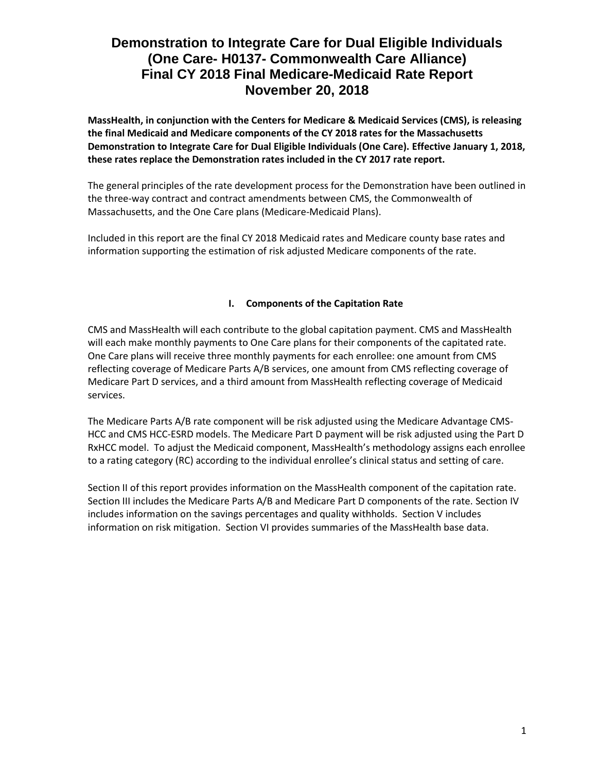**MassHealth, in conjunction with the Centers for Medicare & Medicaid Services (CMS), is releasing the final Medicaid and Medicare components of the CY 2018 rates for the Massachusetts Demonstration to Integrate Care for Dual Eligible Individuals (One Care). Effective January 1, 2018, these rates replace the Demonstration rates included in the CY 2017 rate report.**

The general principles of the rate development process for the Demonstration have been outlined in the three-way contract and contract amendments between CMS, the Commonwealth of Massachusetts, and the One Care plans (Medicare-Medicaid Plans).

Included in this report are the final CY 2018 Medicaid rates and Medicare county base rates and information supporting the estimation of risk adjusted Medicare components of the rate.

# **I. Components of the Capitation Rate**

CMS and MassHealth will each contribute to the global capitation payment. CMS and MassHealth will each make monthly payments to One Care plans for their components of the capitated rate. One Care plans will receive three monthly payments for each enrollee: one amount from CMS reflecting coverage of Medicare Parts A/B services, one amount from CMS reflecting coverage of Medicare Part D services, and a third amount from MassHealth reflecting coverage of Medicaid services.

The Medicare Parts A/B rate component will be risk adjusted using the Medicare Advantage CMS-HCC and CMS HCC-ESRD models. The Medicare Part D payment will be risk adjusted using the Part D RxHCC model. To adjust the Medicaid component, MassHealth's methodology assigns each enrollee to a rating category (RC) according to the individual enrollee's clinical status and setting of care.

Section II of this report provides information on the MassHealth component of the capitation rate. Section III includes the Medicare Parts A/B and Medicare Part D components of the rate. Section IV includes information on the savings percentages and quality withholds. Section V includes information on risk mitigation. Section VI provides summaries of the MassHealth base data.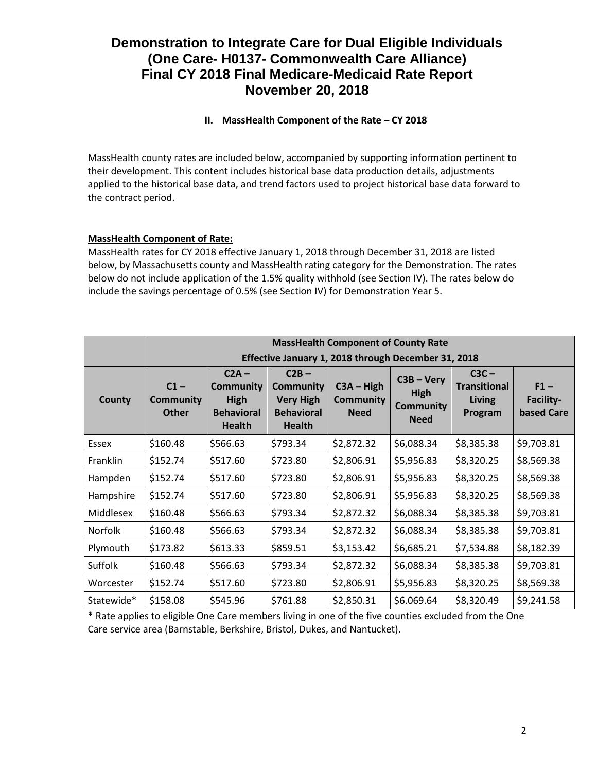# **II. MassHealth Component of the Rate – CY 2018**

MassHealth county rates are included below, accompanied by supporting information pertinent to their development. This content includes historical base data production details, adjustments applied to the historical base data, and trend factors used to project historical base data forward to the contract period.

# **MassHealth Component of Rate:**

MassHealth rates for CY 2018 effective January 1, 2018 through December 31, 2018 are listed below, by Massachusetts county and MassHealth rating category for the Demonstration. The rates below do not include application of the 1.5% quality withhold (see Section IV). The rates below do include the savings percentage of 0.5% (see Section IV) for Demonstration Year 5.

|                | <b>MassHealth Component of County Rate</b>          |                                                                                  |                                                                                       |                                                 |                                                                |                                                            |                                          |
|----------------|-----------------------------------------------------|----------------------------------------------------------------------------------|---------------------------------------------------------------------------------------|-------------------------------------------------|----------------------------------------------------------------|------------------------------------------------------------|------------------------------------------|
|                | Effective January 1, 2018 through December 31, 2018 |                                                                                  |                                                                                       |                                                 |                                                                |                                                            |                                          |
| County         | $C1 -$<br><b>Community</b><br><b>Other</b>          | $C2A -$<br><b>Community</b><br><b>High</b><br><b>Behavioral</b><br><b>Health</b> | $C2B -$<br><b>Community</b><br><b>Very High</b><br><b>Behavioral</b><br><b>Health</b> | $C3A - High$<br><b>Community</b><br><b>Need</b> | $C3B - Very$<br><b>High</b><br><b>Community</b><br><b>Need</b> | $C3C -$<br><b>Transitional</b><br><b>Living</b><br>Program | $F1 -$<br>Facility-<br><b>based Care</b> |
| Essex          | \$160.48                                            | \$566.63                                                                         | \$793.34                                                                              | \$2,872.32                                      | \$6,088.34                                                     | \$8,385.38                                                 | \$9,703.81                               |
| Franklin       | \$152.74                                            | \$517.60                                                                         | \$723.80                                                                              | \$2,806.91                                      | \$5,956.83                                                     | \$8,320.25                                                 | \$8,569.38                               |
| Hampden        | \$152.74                                            | \$517.60                                                                         | \$723.80                                                                              | \$2,806.91                                      | \$5,956.83                                                     | \$8,320.25                                                 | \$8,569.38                               |
| Hampshire      | \$152.74                                            | \$517.60                                                                         | \$723.80                                                                              | \$2,806.91                                      | \$5,956.83                                                     | \$8,320.25                                                 | \$8,569.38                               |
| Middlesex      | \$160.48                                            | \$566.63                                                                         | \$793.34                                                                              | \$2,872.32                                      | \$6,088.34                                                     | \$8,385.38                                                 | \$9,703.81                               |
| <b>Norfolk</b> | \$160.48                                            | \$566.63                                                                         | \$793.34                                                                              | \$2,872.32                                      | \$6,088.34                                                     | \$8,385.38                                                 | \$9,703.81                               |
| Plymouth       | \$173.82                                            | \$613.33                                                                         | \$859.51                                                                              | \$3,153.42                                      | \$6,685.21                                                     | \$7,534.88                                                 | \$8,182.39                               |
| Suffolk        | \$160.48                                            | \$566.63                                                                         | \$793.34                                                                              | \$2,872.32                                      | \$6,088.34                                                     | \$8,385.38                                                 | \$9,703.81                               |
| Worcester      | \$152.74                                            | \$517.60                                                                         | \$723.80                                                                              | \$2,806.91                                      | \$5,956.83                                                     | \$8,320.25                                                 | \$8,569.38                               |
| Statewide*     | \$158.08                                            | \$545.96                                                                         | \$761.88                                                                              | \$2,850.31                                      | \$6.069.64                                                     | \$8,320.49                                                 | \$9,241.58                               |

\* Rate applies to eligible One Care members living in one of the five counties excluded from the One Care service area (Barnstable, Berkshire, Bristol, Dukes, and Nantucket).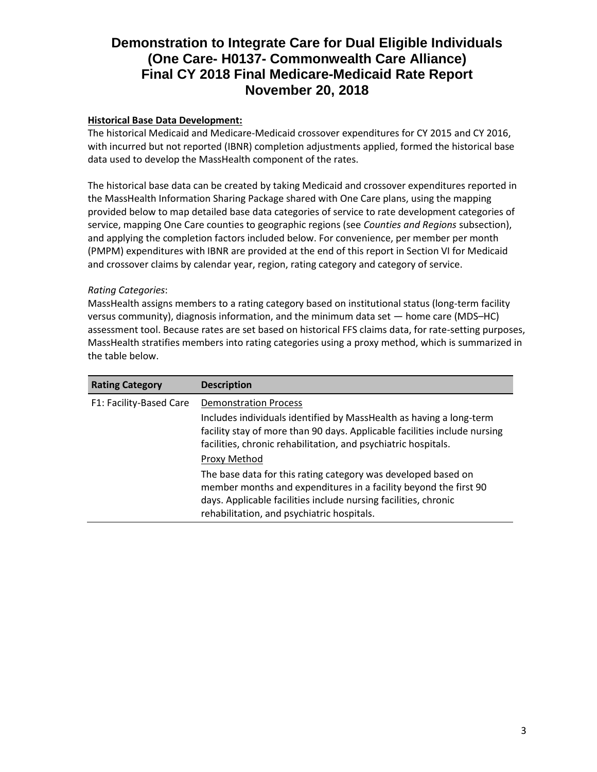# **Historical Base Data Development:**

The historical Medicaid and Medicare-Medicaid crossover expenditures for CY 2015 and CY 2016, with incurred but not reported (IBNR) completion adjustments applied, formed the historical base data used to develop the MassHealth component of the rates.

The historical base data can be created by taking Medicaid and crossover expenditures reported in the MassHealth Information Sharing Package shared with One Care plans, using the mapping provided below to map detailed base data categories of service to rate development categories of service, mapping One Care counties to geographic regions (see *Counties and Regions* subsection), and applying the completion factors included below. For convenience, per member per month (PMPM) expenditures with IBNR are provided at the end of this report in Section VI for Medicaid and crossover claims by calendar year, region, rating category and category of service.

### *Rating Categories*:

MassHealth assigns members to a rating category based on institutional status (long-term facility versus community), diagnosis information, and the minimum data set — home care (MDS–HC) assessment tool. Because rates are set based on historical FFS claims data, for rate-setting purposes, MassHealth stratifies members into rating categories using a proxy method, which is summarized in the table below.

| <b>Rating Category</b>  | <b>Description</b>                                                                                                                                                                                                                                 |
|-------------------------|----------------------------------------------------------------------------------------------------------------------------------------------------------------------------------------------------------------------------------------------------|
| F1: Facility-Based Care | <b>Demonstration Process</b><br>Includes individuals identified by MassHealth as having a long-term                                                                                                                                                |
|                         | facility stay of more than 90 days. Applicable facilities include nursing<br>facilities, chronic rehabilitation, and psychiatric hospitals.                                                                                                        |
|                         | Proxy Method                                                                                                                                                                                                                                       |
|                         | The base data for this rating category was developed based on<br>member months and expenditures in a facility beyond the first 90<br>days. Applicable facilities include nursing facilities, chronic<br>rehabilitation, and psychiatric hospitals. |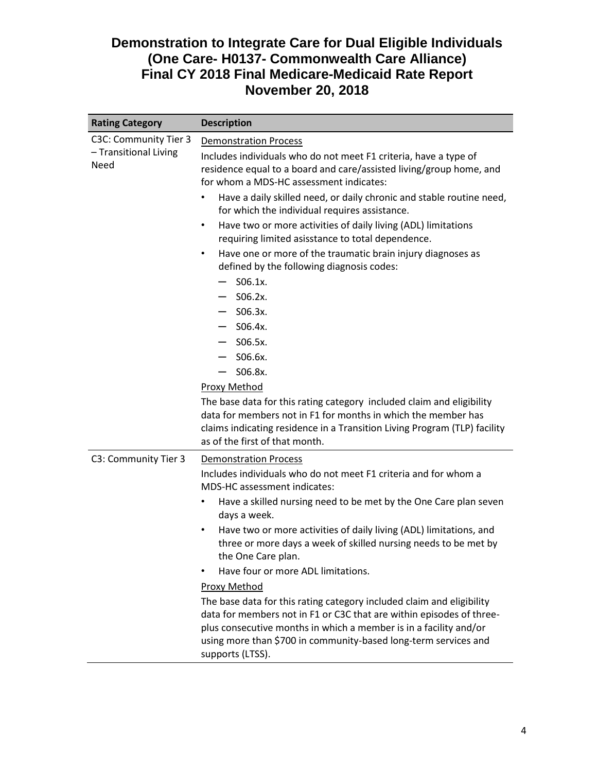| <b>Description</b>                                                                                                                                                                                                                                                                                        |  |  |  |
|-----------------------------------------------------------------------------------------------------------------------------------------------------------------------------------------------------------------------------------------------------------------------------------------------------------|--|--|--|
| <b>Demonstration Process</b>                                                                                                                                                                                                                                                                              |  |  |  |
| Includes individuals who do not meet F1 criteria, have a type of<br>residence equal to a board and care/assisted living/group home, and<br>for whom a MDS-HC assessment indicates:                                                                                                                        |  |  |  |
| Have a daily skilled need, or daily chronic and stable routine need,<br>$\bullet$<br>for which the individual requires assistance.                                                                                                                                                                        |  |  |  |
| Have two or more activities of daily living (ADL) limitations<br>$\bullet$<br>requiring limited asisstance to total dependence.                                                                                                                                                                           |  |  |  |
| Have one or more of the traumatic brain injury diagnoses as<br>$\bullet$<br>defined by the following diagnosis codes:                                                                                                                                                                                     |  |  |  |
| $S06.1x$ .                                                                                                                                                                                                                                                                                                |  |  |  |
| $-$ S06.2x.                                                                                                                                                                                                                                                                                               |  |  |  |
| $-$ S06.3x.                                                                                                                                                                                                                                                                                               |  |  |  |
| $-$ S06.4x.                                                                                                                                                                                                                                                                                               |  |  |  |
| S06.5x.<br>$\overline{\phantom{0}}$                                                                                                                                                                                                                                                                       |  |  |  |
| S06.6x.                                                                                                                                                                                                                                                                                                   |  |  |  |
| S06.8x.                                                                                                                                                                                                                                                                                                   |  |  |  |
| <b>Proxy Method</b>                                                                                                                                                                                                                                                                                       |  |  |  |
| The base data for this rating category included claim and eligibility<br>data for members not in F1 for months in which the member has<br>claims indicating residence in a Transition Living Program (TLP) facility<br>as of the first of that month.                                                     |  |  |  |
| <b>Demonstration Process</b>                                                                                                                                                                                                                                                                              |  |  |  |
| Includes individuals who do not meet F1 criteria and for whom a<br><b>MDS-HC</b> assessment indicates:                                                                                                                                                                                                    |  |  |  |
| Have a skilled nursing need to be met by the One Care plan seven<br>$\bullet$<br>days a week.                                                                                                                                                                                                             |  |  |  |
| Have two or more activities of daily living (ADL) limitations, and<br>$\bullet$<br>three or more days a week of skilled nursing needs to be met by<br>the One Care plan.                                                                                                                                  |  |  |  |
| Have four or more ADL limitations.                                                                                                                                                                                                                                                                        |  |  |  |
| <b>Proxy Method</b>                                                                                                                                                                                                                                                                                       |  |  |  |
| The base data for this rating category included claim and eligibility<br>data for members not in F1 or C3C that are within episodes of three-<br>plus consecutive months in which a member is in a facility and/or<br>using more than \$700 in community-based long-term services and<br>supports (LTSS). |  |  |  |
|                                                                                                                                                                                                                                                                                                           |  |  |  |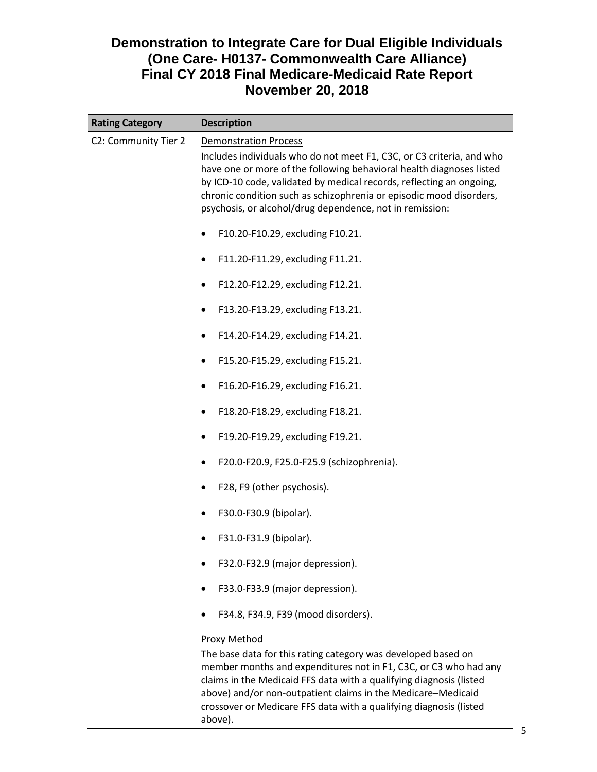| <b>Rating Category</b> | <b>Description</b>                                                                                                                                                                                                                                                                                                                                                                       |  |  |  |
|------------------------|------------------------------------------------------------------------------------------------------------------------------------------------------------------------------------------------------------------------------------------------------------------------------------------------------------------------------------------------------------------------------------------|--|--|--|
| C2: Community Tier 2   | <b>Demonstration Process</b><br>Includes individuals who do not meet F1, C3C, or C3 criteria, and who<br>have one or more of the following behavioral health diagnoses listed<br>by ICD-10 code, validated by medical records, reflecting an ongoing,<br>chronic condition such as schizophrenia or episodic mood disorders,<br>psychosis, or alcohol/drug dependence, not in remission: |  |  |  |
|                        | F10.20-F10.29, excluding F10.21.<br>٠                                                                                                                                                                                                                                                                                                                                                    |  |  |  |
|                        | F11.20-F11.29, excluding F11.21.                                                                                                                                                                                                                                                                                                                                                         |  |  |  |
|                        | F12.20-F12.29, excluding F12.21.<br>٠                                                                                                                                                                                                                                                                                                                                                    |  |  |  |
|                        | F13.20-F13.29, excluding F13.21.<br>٠                                                                                                                                                                                                                                                                                                                                                    |  |  |  |
|                        | F14.20-F14.29, excluding F14.21.                                                                                                                                                                                                                                                                                                                                                         |  |  |  |
|                        | F15.20-F15.29, excluding F15.21.<br>٠                                                                                                                                                                                                                                                                                                                                                    |  |  |  |
|                        | F16.20-F16.29, excluding F16.21.<br>٠                                                                                                                                                                                                                                                                                                                                                    |  |  |  |
|                        | F18.20-F18.29, excluding F18.21.<br>٠                                                                                                                                                                                                                                                                                                                                                    |  |  |  |
|                        | F19.20-F19.29, excluding F19.21.<br>٠                                                                                                                                                                                                                                                                                                                                                    |  |  |  |
|                        | F20.0-F20.9, F25.0-F25.9 (schizophrenia).<br>٠                                                                                                                                                                                                                                                                                                                                           |  |  |  |
|                        | F28, F9 (other psychosis).                                                                                                                                                                                                                                                                                                                                                               |  |  |  |
|                        | F30.0-F30.9 (bipolar).<br>٠                                                                                                                                                                                                                                                                                                                                                              |  |  |  |
|                        | F31.0-F31.9 (bipolar).                                                                                                                                                                                                                                                                                                                                                                   |  |  |  |
|                        | F32.0-F32.9 (major depression).                                                                                                                                                                                                                                                                                                                                                          |  |  |  |
|                        | F33.0-F33.9 (major depression).                                                                                                                                                                                                                                                                                                                                                          |  |  |  |
|                        | F34.8, F34.9, F39 (mood disorders).                                                                                                                                                                                                                                                                                                                                                      |  |  |  |
|                        | <b>Proxy Method</b><br>The base data for this rating category was developed based on<br>member months and expenditures not in F1, C3C, or C3 who had any<br>claims in the Medicaid FFS data with a qualifying diagnosis (listed<br>above) and/or non-outpatient claims in the Medicare-Medicaid<br>crossover or Medicare FFS data with a qualifying diagnosis (listed<br>above).         |  |  |  |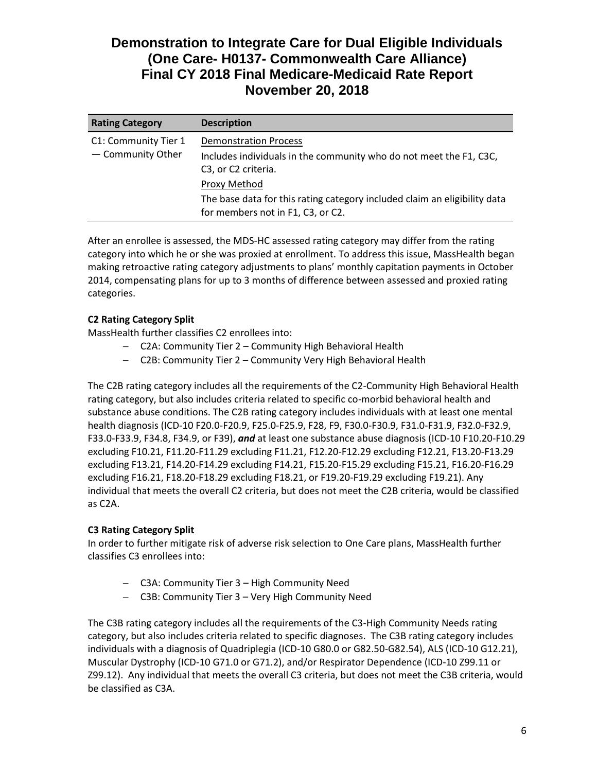| <b>Rating Category</b>                    | <b>Description</b>                                                                                                        |
|-------------------------------------------|---------------------------------------------------------------------------------------------------------------------------|
| C1: Community Tier 1<br>- Community Other | <b>Demonstration Process</b><br>Includes individuals in the community who do not meet the F1, C3C,<br>C3, or C2 criteria. |
|                                           | Proxy Method                                                                                                              |
|                                           | The base data for this rating category included claim an eligibility data<br>for members not in F1, C3, or C2.            |

After an enrollee is assessed, the MDS-HC assessed rating category may differ from the rating category into which he or she was proxied at enrollment. To address this issue, MassHealth began making retroactive rating category adjustments to plans' monthly capitation payments in October 2014, compensating plans for up to 3 months of difference between assessed and proxied rating categories.

# **C2 Rating Category Split**

MassHealth further classifies C2 enrollees into:

- C2A: Community Tier 2 Community High Behavioral Health
- C2B: Community Tier 2 Community Very High Behavioral Health

The C2B rating category includes all the requirements of the C2-Community High Behavioral Health rating category, but also includes criteria related to specific co-morbid behavioral health and substance abuse conditions. The C2B rating category includes individuals with at least one mental health diagnosis (ICD-10 F20.0-F20.9, F25.0-F25.9, F28, F9, F30.0-F30.9, F31.0-F31.9, F32.0-F32.9, F33.0-F33.9, F34.8, F34.9, or F39), *and* at least one substance abuse diagnosis (ICD-10 F10.20-F10.29 excluding F10.21, F11.20-F11.29 excluding F11.21, F12.20-F12.29 excluding F12.21, F13.20-F13.29 excluding F13.21, F14.20-F14.29 excluding F14.21, F15.20-F15.29 excluding F15.21, F16.20-F16.29 excluding F16.21, F18.20-F18.29 excluding F18.21, or F19.20-F19.29 excluding F19.21). Any individual that meets the overall C2 criteria, but does not meet the C2B criteria, would be classified as C2A.

# **C3 Rating Category Split**

In order to further mitigate risk of adverse risk selection to One Care plans, MassHealth further classifies C3 enrollees into:

- C3A: Community Tier 3 High Community Need
- C3B: Community Tier 3 Very High Community Need

The C3B rating category includes all the requirements of the C3-High Community Needs rating category, but also includes criteria related to specific diagnoses. The C3B rating category includes individuals with a diagnosis of Quadriplegia (ICD-10 G80.0 or G82.50-G82.54), ALS (ICD-10 G12.21), Muscular Dystrophy (ICD-10 G71.0 or G71.2), and/or Respirator Dependence (ICD-10 Z99.11 or Z99.12). Any individual that meets the overall C3 criteria, but does not meet the C3B criteria, would be classified as C3A.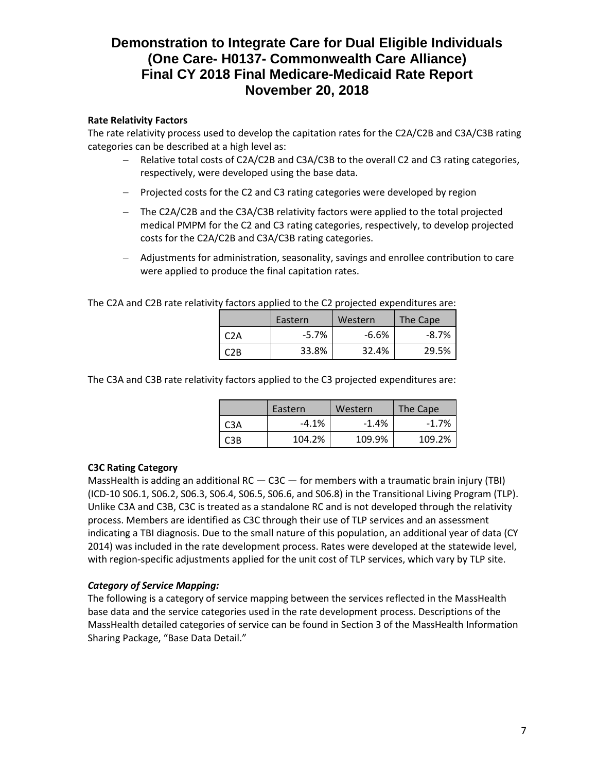## **Rate Relativity Factors**

The rate relativity process used to develop the capitation rates for the C2A/C2B and C3A/C3B rating categories can be described at a high level as:

- Relative total costs of C2A/C2B and C3A/C3B to the overall C2 and C3 rating categories, respectively, were developed using the base data.
- Projected costs for the C2 and C3 rating categories were developed by region
- The C2A/C2B and the C3A/C3B relativity factors were applied to the total projected medical PMPM for the C2 and C3 rating categories, respectively, to develop projected costs for the C2A/C2B and C3A/C3B rating categories.
- Adjustments for administration, seasonality, savings and enrollee contribution to care were applied to produce the final capitation rates.

The C2A and C2B rate relativity factors applied to the C2 projected expenditures are:

|     | Eastern | Western | The Cape |
|-----|---------|---------|----------|
| C2A | $-5.7%$ | $-6.6%$ | $-8.7\%$ |
| C2B | 33.8%   | 32.4%   | 29.5%    |

The C3A and C3B rate relativity factors applied to the C3 projected expenditures are:

|                  | Eastern | Western | The Cape |
|------------------|---------|---------|----------|
| C <sub>3</sub> A | $-4.1%$ | $-1.4%$ | $-1.7%$  |
| C3B              | 104.2%  | 109.9%  | 109.2%   |

### **C3C Rating Category**

MassHealth is adding an additional RC  $-$  C3C  $-$  for members with a traumatic brain injury (TBI) (ICD-10 S06.1, S06.2, S06.3, S06.4, S06.5, S06.6, and S06.8) in the Transitional Living Program (TLP). Unlike C3A and C3B, C3C is treated as a standalone RC and is not developed through the relativity process. Members are identified as C3C through their use of TLP services and an assessment indicating a TBI diagnosis. Due to the small nature of this population, an additional year of data (CY 2014) was included in the rate development process. Rates were developed at the statewide level, with region-specific adjustments applied for the unit cost of TLP services, which vary by TLP site.

### *Category of Service Mapping:*

The following is a category of service mapping between the services reflected in the MassHealth base data and the service categories used in the rate development process. Descriptions of the MassHealth detailed categories of service can be found in Section 3 of the MassHealth Information Sharing Package, "Base Data Detail."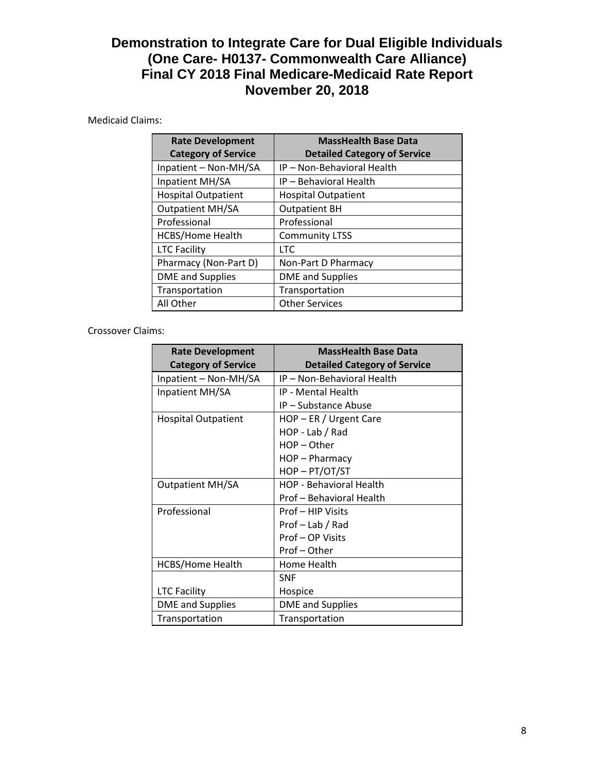# Medicaid Claims:

| <b>Rate Development</b><br><b>Category of Service</b> | <b>MassHealth Base Data</b><br><b>Detailed Category of Service</b> |
|-------------------------------------------------------|--------------------------------------------------------------------|
| Inpatient - Non-MH/SA                                 | IP - Non-Behavioral Health                                         |
| Inpatient MH/SA                                       | IP - Behavioral Health                                             |
| <b>Hospital Outpatient</b>                            | <b>Hospital Outpatient</b>                                         |
| <b>Outpatient MH/SA</b>                               | <b>Outpatient BH</b>                                               |
| Professional                                          | Professional                                                       |
| <b>HCBS/Home Health</b>                               | <b>Community LTSS</b>                                              |
| <b>LTC Facility</b>                                   | <b>LTC</b>                                                         |
| Pharmacy (Non-Part D)                                 | Non-Part D Pharmacy                                                |
| <b>DME</b> and Supplies                               | <b>DME</b> and Supplies                                            |
| Transportation                                        | Transportation                                                     |
| All Other                                             | <b>Other Services</b>                                              |

### Crossover Claims:

| <b>Rate Development</b>    | <b>MassHealth Base Data</b>         |  |  |
|----------------------------|-------------------------------------|--|--|
| <b>Category of Service</b> | <b>Detailed Category of Service</b> |  |  |
| Inpatient - Non-MH/SA      | IP - Non-Behavioral Health          |  |  |
| Inpatient MH/SA            | IP - Mental Health                  |  |  |
|                            | IP - Substance Abuse                |  |  |
| Hospital Outpatient        | HOP - ER / Urgent Care              |  |  |
|                            | HOP - Lab / Rad                     |  |  |
|                            | $HOP - Other$                       |  |  |
|                            | HOP-Pharmacy                        |  |  |
|                            | HOP-PT/OT/ST                        |  |  |
| <b>Outpatient MH/SA</b>    | <b>HOP - Behavioral Health</b>      |  |  |
|                            | Prof – Behavioral Health            |  |  |
| Professional               | Prof - HIP Visits                   |  |  |
|                            | Prof - Lab / Rad                    |  |  |
|                            | Prof - OP Visits                    |  |  |
|                            | Prof-Other                          |  |  |
| <b>HCBS/Home Health</b>    | Home Health                         |  |  |
|                            | <b>SNF</b>                          |  |  |
| <b>LTC Facility</b>        | Hospice                             |  |  |
| <b>DME</b> and Supplies    | <b>DME</b> and Supplies             |  |  |
| Transportation             | Transportation                      |  |  |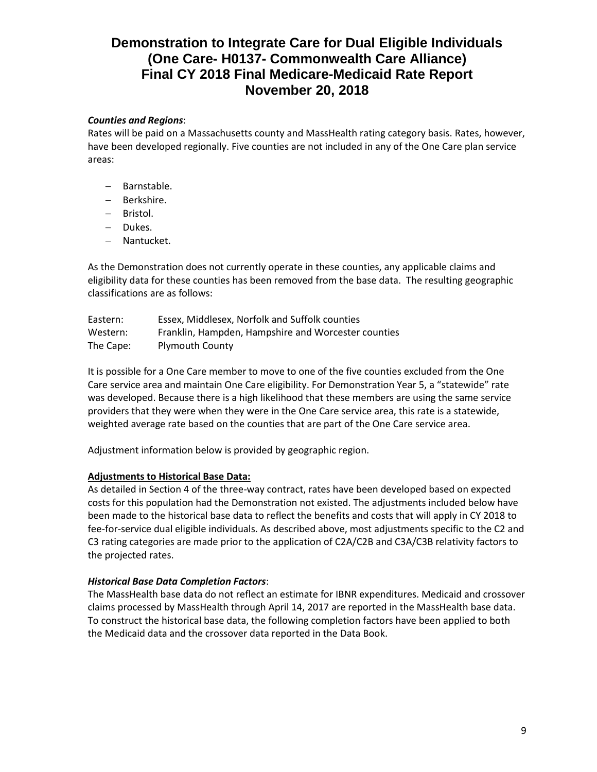## *Counties and Regions*:

Rates will be paid on a Massachusetts county and MassHealth rating category basis. Rates, however, have been developed regionally. Five counties are not included in any of the One Care plan service areas:

- Barnstable.
- Berkshire.
- Bristol.
- Dukes.
- Nantucket.

As the Demonstration does not currently operate in these counties, any applicable claims and eligibility data for these counties has been removed from the base data. The resulting geographic classifications are as follows:

| Eastern:  | Essex, Middlesex, Norfolk and Suffolk counties      |
|-----------|-----------------------------------------------------|
| Western:  | Franklin, Hampden, Hampshire and Worcester counties |
| The Cape: | <b>Plymouth County</b>                              |

It is possible for a One Care member to move to one of the five counties excluded from the One Care service area and maintain One Care eligibility. For Demonstration Year 5, a "statewide" rate was developed. Because there is a high likelihood that these members are using the same service providers that they were when they were in the One Care service area, this rate is a statewide, weighted average rate based on the counties that are part of the One Care service area.

Adjustment information below is provided by geographic region.

### **Adjustments to Historical Base Data:**

As detailed in Section 4 of the three-way contract, rates have been developed based on expected costs for this population had the Demonstration not existed. The adjustments included below have been made to the historical base data to reflect the benefits and costs that will apply in CY 2018 to fee-for-service dual eligible individuals. As described above, most adjustments specific to the C2 and C3 rating categories are made prior to the application of C2A/C2B and C3A/C3B relativity factors to the projected rates.

### *Historical Base Data Completion Factors*:

The MassHealth base data do not reflect an estimate for IBNR expenditures. Medicaid and crossover claims processed by MassHealth through April 14, 2017 are reported in the MassHealth base data. To construct the historical base data, the following completion factors have been applied to both the Medicaid data and the crossover data reported in the Data Book.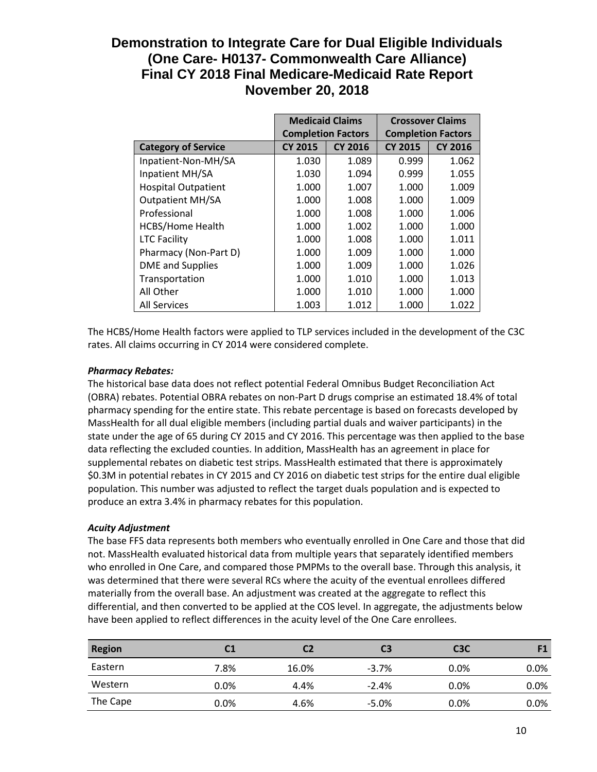|                            | <b>Medicaid Claims</b>    |                | <b>Crossover Claims</b>   |                |
|----------------------------|---------------------------|----------------|---------------------------|----------------|
|                            | <b>Completion Factors</b> |                | <b>Completion Factors</b> |                |
| <b>Category of Service</b> | <b>CY 2015</b>            | <b>CY 2016</b> | <b>CY 2015</b>            | <b>CY 2016</b> |
| Inpatient-Non-MH/SA        | 1.030                     | 1.089          | 0.999                     | 1.062          |
| Inpatient MH/SA            | 1.030                     | 1.094          | 0.999                     | 1.055          |
| <b>Hospital Outpatient</b> | 1.000                     | 1.007          | 1.000                     | 1.009          |
| <b>Outpatient MH/SA</b>    | 1.000                     | 1.008          | 1.000                     | 1.009          |
| Professional               | 1.000                     | 1.008          | 1.000                     | 1.006          |
| <b>HCBS/Home Health</b>    | 1.000                     | 1.002          | 1.000                     | 1.000          |
| <b>LTC Facility</b>        | 1.000                     | 1.008          | 1.000                     | 1.011          |
| Pharmacy (Non-Part D)      | 1.000                     | 1.009          | 1.000                     | 1.000          |
| <b>DME</b> and Supplies    | 1.000                     | 1.009          | 1.000                     | 1.026          |
| Transportation             | 1.000                     | 1.010          | 1.000                     | 1.013          |
| All Other                  | 1.000                     | 1.010          | 1.000                     | 1.000          |
| <b>All Services</b>        | 1.003                     | 1.012          | 1.000                     | 1.022          |

The HCBS/Home Health factors were applied to TLP services included in the development of the C3C rates. All claims occurring in CY 2014 were considered complete.

## *Pharmacy Rebates:*

The historical base data does not reflect potential Federal Omnibus Budget Reconciliation Act (OBRA) rebates. Potential OBRA rebates on non-Part D drugs comprise an estimated 18.4% of total pharmacy spending for the entire state. This rebate percentage is based on forecasts developed by MassHealth for all dual eligible members (including partial duals and waiver participants) in the state under the age of 65 during CY 2015 and CY 2016. This percentage was then applied to the base data reflecting the excluded counties. In addition, MassHealth has an agreement in place for supplemental rebates on diabetic test strips. MassHealth estimated that there is approximately \$0.3M in potential rebates in CY 2015 and CY 2016 on diabetic test strips for the entire dual eligible population. This number was adjusted to reflect the target duals population and is expected to produce an extra 3.4% in pharmacy rebates for this population.

# *Acuity Adjustment*

The base FFS data represents both members who eventually enrolled in One Care and those that did not. MassHealth evaluated historical data from multiple years that separately identified members who enrolled in One Care, and compared those PMPMs to the overall base. Through this analysis, it was determined that there were several RCs where the acuity of the eventual enrollees differed materially from the overall base. An adjustment was created at the aggregate to reflect this differential, and then converted to be applied at the COS level. In aggregate, the adjustments below have been applied to reflect differences in the acuity level of the One Care enrollees.

| <b>Region</b> | C1   | C2    | C3      | C <sub>3</sub> C | F1      |
|---------------|------|-------|---------|------------------|---------|
| Eastern       | 7.8% | 16.0% | $-3.7%$ | $0.0\%$          | $0.0\%$ |
| Western       | 0.0% | 4.4%  | $-2.4%$ | $0.0\%$          | $0.0\%$ |
| The Cape      | 0.0% | 4.6%  | $-5.0%$ | $0.0\%$          | $0.0\%$ |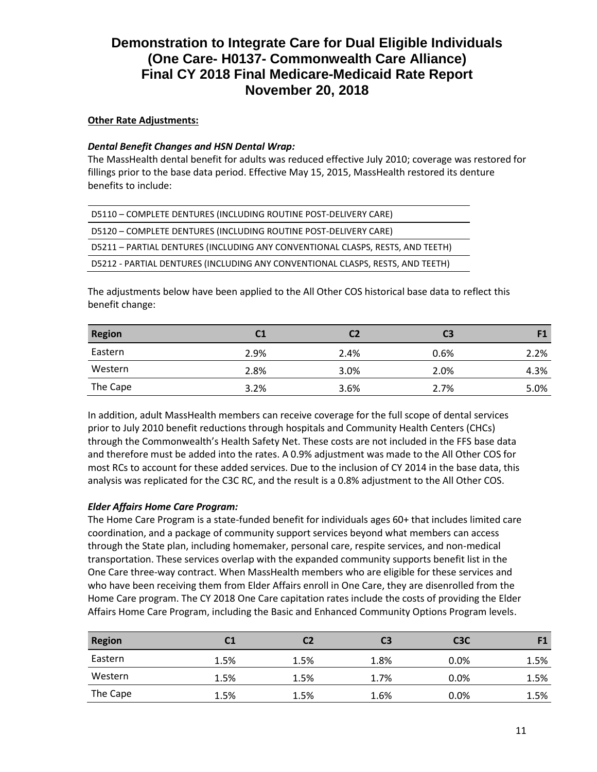## **Other Rate Adjustments:**

### *Dental Benefit Changes and HSN Dental Wrap:*

The MassHealth dental benefit for adults was reduced effective July 2010; coverage was restored for fillings prior to the base data period. Effective May 15, 2015, MassHealth restored its denture benefits to include:

| D5110 - COMPLETE DENTURES (INCLUDING ROUTINE POST-DELIVERY CARE)               |
|--------------------------------------------------------------------------------|
| D5120 - COMPLETE DENTURES (INCLUDING ROUTINE POST-DELIVERY CARE)               |
| D5211 - PARTIAL DENTURES (INCLUDING ANY CONVENTIONAL CLASPS, RESTS, AND TEETH) |
| D5212 - PARTIAL DENTURES (INCLUDING ANY CONVENTIONAL CLASPS, RESTS, AND TEETH) |

The adjustments below have been applied to the All Other COS historical base data to reflect this benefit change:

| <b>Region</b> | C1   |      | C <sub>3</sub> |      |
|---------------|------|------|----------------|------|
| Eastern       | 2.9% | 2.4% | 0.6%           | 2.2% |
| Western       | 2.8% | 3.0% | 2.0%           | 4.3% |
| The Cape      | 3.2% | 3.6% | 2.7%           | 5.0% |

In addition, adult MassHealth members can receive coverage for the full scope of dental services prior to July 2010 benefit reductions through hospitals and Community Health Centers (CHCs) through the Commonwealth's Health Safety Net. These costs are not included in the FFS base data and therefore must be added into the rates. A 0.9% adjustment was made to the All Other COS for most RCs to account for these added services. Due to the inclusion of CY 2014 in the base data, this analysis was replicated for the C3C RC, and the result is a 0.8% adjustment to the All Other COS.

# *Elder Affairs Home Care Program:*

The Home Care Program is a state-funded benefit for individuals ages 60+ that includes limited care coordination, and a package of community support services beyond what members can access through the State plan, including homemaker, personal care, respite services, and non-medical transportation. These services overlap with the expanded community supports benefit list in the One Care three-way contract. When MassHealth members who are eligible for these services and who have been receiving them from Elder Affairs enroll in One Care, they are disenrolled from the Home Care program. The CY 2018 One Care capitation rates include the costs of providing the Elder Affairs Home Care Program, including the Basic and Enhanced Community Options Program levels.

| <b>Region</b> | C1   | C2   | C <sub>3</sub> | C <sub>3</sub> C | F1   |
|---------------|------|------|----------------|------------------|------|
| Eastern       | 1.5% | 1.5% | 1.8%           | 0.0%             | 1.5% |
| Western       | 1.5% | 1.5% | 1.7%           | 0.0%             | 1.5% |
| The Cape      | 1.5% | 1.5% | 1.6%           | $0.0\%$          | 1.5% |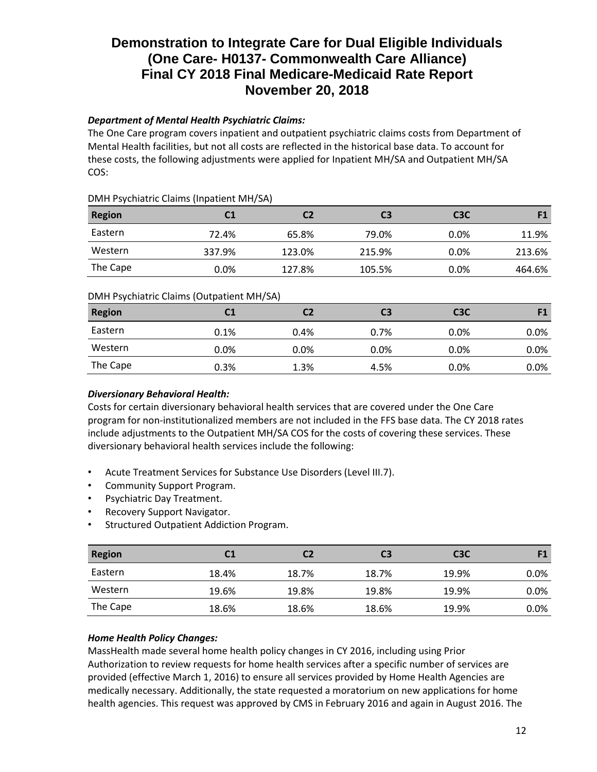# *Department of Mental Health Psychiatric Claims:*

The One Care program covers inpatient and outpatient psychiatric claims costs from Department of Mental Health facilities, but not all costs are reflected in the historical base data. To account for these costs, the following adjustments were applied for Inpatient MH/SA and Outpatient MH/SA COS:

## DMH Psychiatric Claims (Inpatient MH/SA)

| <b>Region</b> | C1     | C2     | C3     | C <sub>3</sub> C |        |
|---------------|--------|--------|--------|------------------|--------|
| Eastern       | 72.4%  | 65.8%  | 79.0%  | $0.0\%$          | 11.9%  |
| Western       | 337.9% | 123.0% | 215.9% | 0.0%             | 213.6% |
| The Cape      | 0.0%   | 127.8% | 105.5% | 0.0%             | 464.6% |

# DMH Psychiatric Claims (Outpatient MH/SA)

| <b>Region</b> | C1   | C2   | C3   | C <sub>3</sub> C | F1      |
|---------------|------|------|------|------------------|---------|
| Eastern       | 0.1% | 0.4% | 0.7% | 0.0%             | $0.0\%$ |
| Western       | 0.0% | 0.0% | 0.0% | 0.0%             | $0.0\%$ |
| The Cape      | 0.3% | 1.3% | 4.5% | 0.0%             | $0.0\%$ |
|               |      |      |      |                  |         |

# *Diversionary Behavioral Health:*

Costs for certain diversionary behavioral health services that are covered under the One Care program for non-institutionalized members are not included in the FFS base data. The CY 2018 rates include adjustments to the Outpatient MH/SA COS for the costs of covering these services. These diversionary behavioral health services include the following:

- Acute Treatment Services for Substance Use Disorders (Level III.7).
- Community Support Program.
- Psychiatric Day Treatment.
- Recovery Support Navigator.
- Structured Outpatient Addiction Program.

| <b>Region</b> |       | C2    | C3    | C <sub>3</sub> C | F1   |
|---------------|-------|-------|-------|------------------|------|
| Eastern       | 18.4% | 18.7% | 18.7% | 19.9%            | 0.0% |
| Western       | 19.6% | 19.8% | 19.8% | 19.9%            | 0.0% |
| The Cape      | 18.6% | 18.6% | 18.6% | 19.9%            | 0.0% |

# *Home Health Policy Changes:*

MassHealth made several home health policy changes in CY 2016, including using Prior Authorization to review requests for home health services after a specific number of services are provided (effective March 1, 2016) to ensure all services provided by Home Health Agencies are medically necessary. Additionally, the state requested a moratorium on new applications for home health agencies. This request was approved by CMS in February 2016 and again in August 2016. The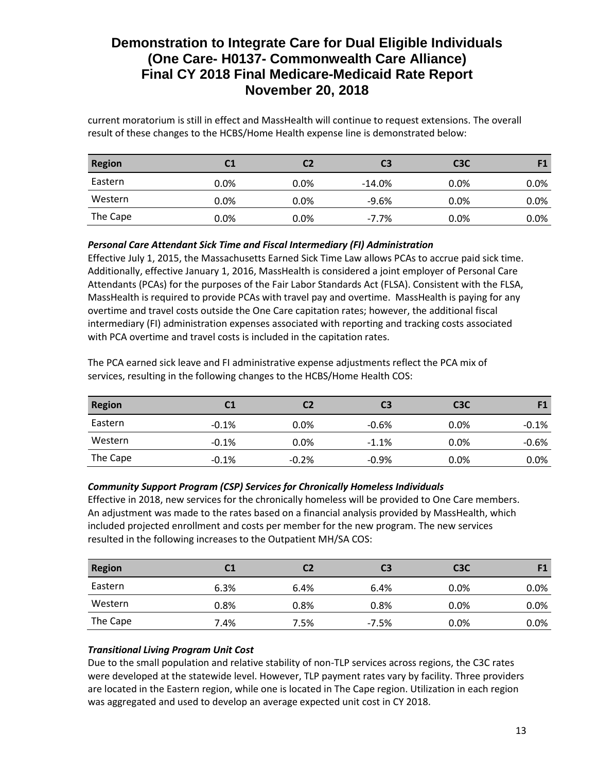current moratorium is still in effect and MassHealth will continue to request extensions. The overall result of these changes to the HCBS/Home Health expense line is demonstrated below:

| <b>Region</b> | C1      |         | C3       | C <sub>3</sub> C |         |
|---------------|---------|---------|----------|------------------|---------|
| Eastern       | $0.0\%$ | $0.0\%$ | $-14.0%$ | 0.0%             | $0.0\%$ |
| Western       | $0.0\%$ | $0.0\%$ | $-9.6%$  | 0.0%             | $0.0\%$ |
| The Cape      | $0.0\%$ | $0.0\%$ | $-7.7\%$ | 0.0%             | $0.0\%$ |

*Personal Care Attendant Sick Time and Fiscal Intermediary (FI) Administration*

Effective July 1, 2015, the Massachusetts Earned Sick Time Law allows PCAs to accrue paid sick time. Additionally, effective January 1, 2016, MassHealth is considered a joint employer of Personal Care Attendants (PCAs) for the purposes of the Fair Labor Standards Act (FLSA). Consistent with the FLSA, MassHealth is required to provide PCAs with travel pay and overtime. MassHealth is paying for any overtime and travel costs outside the One Care capitation rates; however, the additional fiscal intermediary (FI) administration expenses associated with reporting and tracking costs associated with PCA overtime and travel costs is included in the capitation rates.

The PCA earned sick leave and FI administrative expense adjustments reflect the PCA mix of services, resulting in the following changes to the HCBS/Home Health COS:

| <b>Region</b> | C1      | С2      | C3      | C <sub>3</sub> C | <b>E1</b> |
|---------------|---------|---------|---------|------------------|-----------|
| Eastern       | $-0.1%$ | 0.0%    | $-0.6%$ | $0.0\%$          | $-0.1%$   |
| Western       | $-0.1%$ | 0.0%    | $-1.1%$ | $0.0\%$          | $-0.6%$   |
| The Cape      | $-0.1%$ | $-0.2%$ | $-0.9%$ | 0.0%             | 0.0%      |

### *Community Support Program (CSP) Services for Chronically Homeless Individuals*

Effective in 2018, new services for the chronically homeless will be provided to One Care members. An adjustment was made to the rates based on a financial analysis provided by MassHealth, which included projected enrollment and costs per member for the new program. The new services resulted in the following increases to the Outpatient MH/SA COS:

| <b>Region</b> |         | C2   | C3      | C <sub>3</sub> C |      |
|---------------|---------|------|---------|------------------|------|
| Eastern       | 6.3%    | 6.4% | 6.4%    | $0.0\%$          | 0.0% |
| Western       | $0.8\%$ | 0.8% | 0.8%    | $0.0\%$          | 0.0% |
| The Cape      | 7.4%    | 7.5% | $-7.5%$ | $0.0\%$          | 0.0% |

# *Transitional Living Program Unit Cost*

Due to the small population and relative stability of non-TLP services across regions, the C3C rates were developed at the statewide level. However, TLP payment rates vary by facility. Three providers are located in the Eastern region, while one is located in The Cape region. Utilization in each region was aggregated and used to develop an average expected unit cost in CY 2018.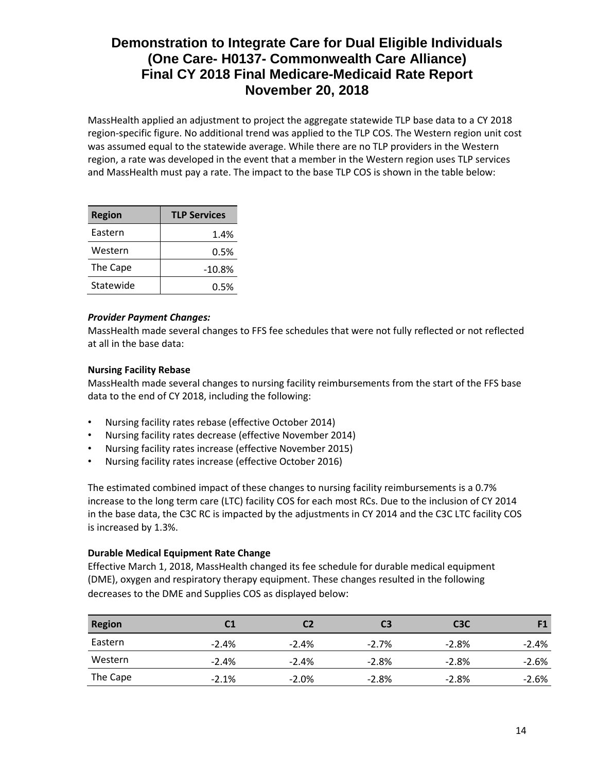MassHealth applied an adjustment to project the aggregate statewide TLP base data to a CY 2018 region-specific figure. No additional trend was applied to the TLP COS. The Western region unit cost was assumed equal to the statewide average. While there are no TLP providers in the Western region, a rate was developed in the event that a member in the Western region uses TLP services and MassHealth must pay a rate. The impact to the base TLP COS is shown in the table below:

| <b>Region</b> | <b>TLP Services</b> |
|---------------|---------------------|
| Eastern       | 1.4%                |
| Western       | 0.5%                |
| The Cape      | $-10.8%$            |
| Statewide     | 0.5%                |

### *Provider Payment Changes:*

MassHealth made several changes to FFS fee schedules that were not fully reflected or not reflected at all in the base data:

## **Nursing Facility Rebase**

MassHealth made several changes to nursing facility reimbursements from the start of the FFS base data to the end of CY 2018, including the following:

- Nursing facility rates rebase (effective October 2014)
- Nursing facility rates decrease (effective November 2014)
- Nursing facility rates increase (effective November 2015)
- Nursing facility rates increase (effective October 2016)

The estimated combined impact of these changes to nursing facility reimbursements is a 0.7% increase to the long term care (LTC) facility COS for each most RCs. Due to the inclusion of CY 2014 in the base data, the C3C RC is impacted by the adjustments in CY 2014 and the C3C LTC facility COS is increased by 1.3%.

### **Durable Medical Equipment Rate Change**

Effective March 1, 2018, MassHealth changed its fee schedule for durable medical equipment (DME), oxygen and respiratory therapy equipment. These changes resulted in the following decreases to the DME and Supplies COS as displayed below:

| <b>Region</b> |         | C2      | C3       | C <sub>3</sub> C | F1      |
|---------------|---------|---------|----------|------------------|---------|
| Eastern       | $-2.4%$ | $-2.4%$ | $-2.7\%$ | $-2.8\%$         | $-2.4%$ |
| Western       | $-2.4%$ | $-2.4%$ | $-2.8%$  | $-2.8\%$         | $-2.6%$ |
| The Cape      | $-2.1%$ | $-2.0%$ | $-2.8%$  | $-2.8%$          | $-2.6%$ |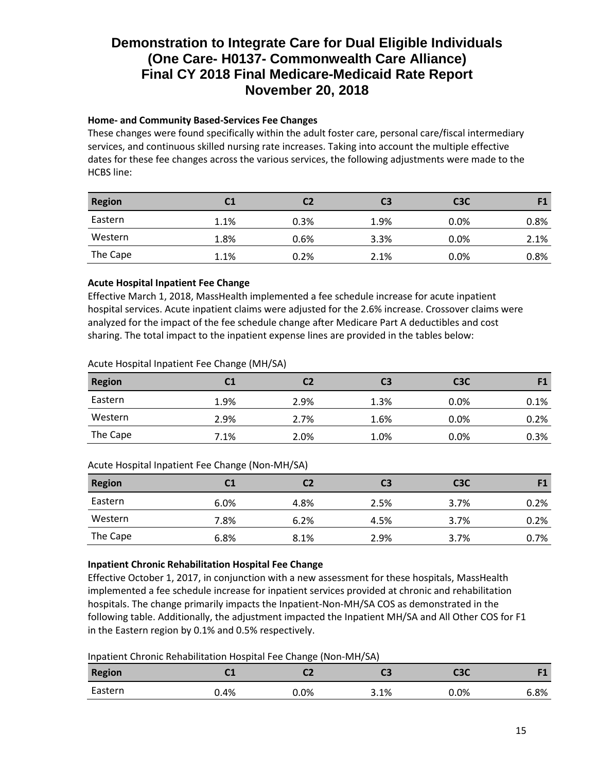# **Home- and Community Based-Services Fee Changes**

These changes were found specifically within the adult foster care, personal care/fiscal intermediary services, and continuous skilled nursing rate increases. Taking into account the multiple effective dates for these fee changes across the various services, the following adjustments were made to the HCBS line:

| <b>Region</b> |      |      | C3   | C <sub>3</sub> C |      |
|---------------|------|------|------|------------------|------|
| Eastern       | 1.1% | 0.3% | 1.9% | $0.0\%$          | 0.8% |
| Western       | 1.8% | 0.6% | 3.3% | $0.0\%$          | 2.1% |
| The Cape      | 1.1% | 0.2% | 2.1% | $0.0\%$          | 0.8% |

### **Acute Hospital Inpatient Fee Change**

Effective March 1, 2018, MassHealth implemented a fee schedule increase for acute inpatient hospital services. Acute inpatient claims were adjusted for the 2.6% increase. Crossover claims were analyzed for the impact of the fee schedule change after Medicare Part A deductibles and cost sharing. The total impact to the inpatient expense lines are provided in the tables below:

### Acute Hospital Inpatient Fee Change (MH/SA)

| <b>Region</b> | C1   |      | C3   | C <sub>3</sub> C |      |
|---------------|------|------|------|------------------|------|
| Eastern       | 1.9% | 2.9% | 1.3% | $0.0\%$          | 0.1% |
| Western       | 2.9% | 2.7% | 1.6% | $0.0\%$          | 0.2% |
| The Cape      | 7.1% | 2.0% | 1.0% | 0.0%             | 0.3% |

### Acute Hospital Inpatient Fee Change (Non-MH/SA)

| <b>Region</b> | C1   | С2   | C3   | C <sub>3</sub> C |      |
|---------------|------|------|------|------------------|------|
| Eastern       | 6.0% | 4.8% | 2.5% | 3.7%             | 0.2% |
| Western       | 7.8% | 6.2% | 4.5% | 3.7%             | 0.2% |
| The Cape      | 6.8% | 8.1% | 2.9% | 3.7%             | 0.7% |

### **Inpatient Chronic Rehabilitation Hospital Fee Change**

Effective October 1, 2017, in conjunction with a new assessment for these hospitals, MassHealth implemented a fee schedule increase for inpatient services provided at chronic and rehabilitation hospitals. The change primarily impacts the Inpatient-Non-MH/SA COS as demonstrated in the following table. Additionally, the adjustment impacted the Inpatient MH/SA and All Other COS for F1 in the Eastern region by 0.1% and 0.5% respectively.

Inpatient Chronic Rehabilitation Hospital Fee Change (Non-MH/SA)

| <b>Region</b> | ∼∸   | ∽    | CЗ   | СЗС  | <b>PA</b> |
|---------------|------|------|------|------|-----------|
| Eastern       | 0.4% | 0.0% | 3.1% | 0.0% | 6.8%      |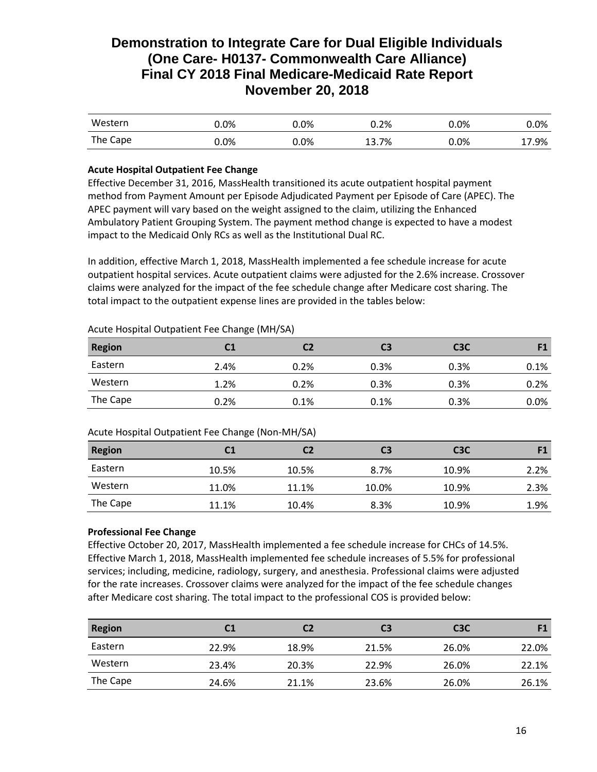| Western  | 0.0%    | 0.0%    | 0.2%  | $0.0\%$ | $0.0\%$ |
|----------|---------|---------|-------|---------|---------|
| The Cape | $0.0\%$ | $0.0\%$ | 13.7% | $0.0\%$ | 17.9%   |

## **Acute Hospital Outpatient Fee Change**

Effective December 31, 2016, MassHealth transitioned its acute outpatient hospital payment method from Payment Amount per Episode Adjudicated Payment per Episode of Care (APEC). The APEC payment will vary based on the weight assigned to the claim, utilizing the Enhanced Ambulatory Patient Grouping System. The payment method change is expected to have a modest impact to the Medicaid Only RCs as well as the Institutional Dual RC.

In addition, effective March 1, 2018, MassHealth implemented a fee schedule increase for acute outpatient hospital services. Acute outpatient claims were adjusted for the 2.6% increase. Crossover claims were analyzed for the impact of the fee schedule change after Medicare cost sharing. The total impact to the outpatient expense lines are provided in the tables below:

## Acute Hospital Outpatient Fee Change (MH/SA)

| <b>Region</b> | C1   | C2   | C3   | C <sub>3</sub> C |      |
|---------------|------|------|------|------------------|------|
| Eastern       | 2.4% | 0.2% | 0.3% | 0.3%             | 0.1% |
| Western       | 1.2% | 0.2% | 0.3% | 0.3%             | 0.2% |
| The Cape      | 0.2% | 0.1% | 0.1% | 0.3%             | 0.0% |

### Acute Hospital Outpatient Fee Change (Non-MH/SA)

| <b>Region</b> | C1    | C2    | C3    | C <sub>3</sub> C |      |
|---------------|-------|-------|-------|------------------|------|
| Eastern       | 10.5% | 10.5% | 8.7%  | 10.9%            | 2.2% |
| Western       | 11.0% | 11.1% | 10.0% | 10.9%            | 2.3% |
| The Cape      | 11.1% | 10.4% | 8.3%  | 10.9%            | 1.9% |

### **Professional Fee Change**

Effective October 20, 2017, MassHealth implemented a fee schedule increase for CHCs of 14.5%. Effective March 1, 2018, MassHealth implemented fee schedule increases of 5.5% for professional services; including, medicine, radiology, surgery, and anesthesia. Professional claims were adjusted for the rate increases. Crossover claims were analyzed for the impact of the fee schedule changes after Medicare cost sharing. The total impact to the professional COS is provided below:

| <b>Region</b> | C1    | С2    | C3    | C <sub>3</sub> C | F1    |
|---------------|-------|-------|-------|------------------|-------|
| Eastern       | 22.9% | 18.9% | 21.5% | 26.0%            | 22.0% |
| Western       | 23.4% | 20.3% | 22.9% | 26.0%            | 22.1% |
| The Cape      | 24.6% | 21.1% | 23.6% | 26.0%            | 26.1% |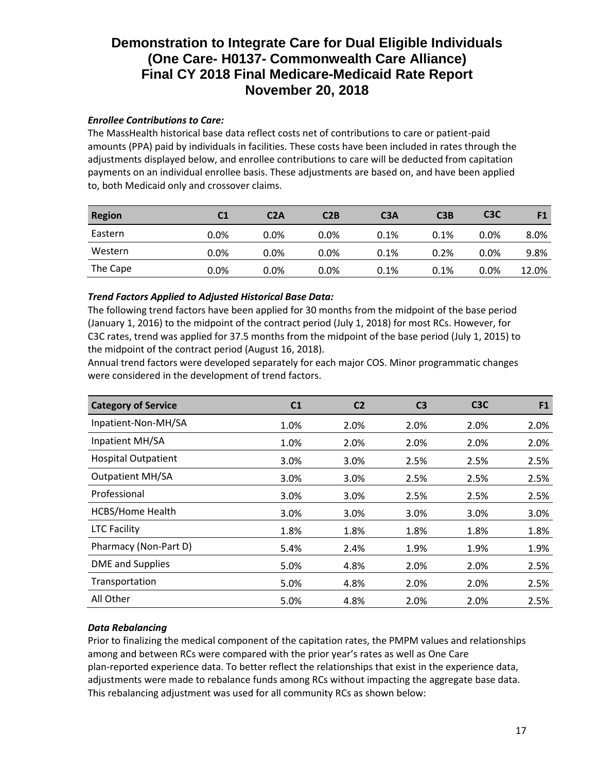## *Enrollee Contributions to Care:*

The MassHealth historical base data reflect costs net of contributions to care or patient-paid amounts (PPA) paid by individuals in facilities. These costs have been included in rates through the adjustments displayed below, and enrollee contributions to care will be deducted from capitation payments on an individual enrollee basis. These adjustments are based on, and have been applied to, both Medicaid only and crossover claims.

| <b>Region</b> | C1   | C2A     | C2B     | C <sub>3</sub> A | C3B  | C <sub>3</sub> C | F1    |
|---------------|------|---------|---------|------------------|------|------------------|-------|
| Eastern       | 0.0% | $0.0\%$ | $0.0\%$ | 0.1%             | 0.1% | $0.0\%$          | 8.0%  |
| Western       | 0.0% | $0.0\%$ | 0.0%    | 0.1%             | 0.2% | $0.0\%$          | 9.8%  |
| The Cape      | 0.0% | $0.0\%$ | 0.0%    | 0.1%             | 0.1% | $0.0\%$          | 12.0% |

### *Trend Factors Applied to Adjusted Historical Base Data:*

The following trend factors have been applied for 30 months from the midpoint of the base period (January 1, 2016) to the midpoint of the contract period (July 1, 2018) for most RCs. However, for C3C rates, trend was applied for 37.5 months from the midpoint of the base period (July 1, 2015) to the midpoint of the contract period (August 16, 2018).

Annual trend factors were developed separately for each major COS. Minor programmatic changes were considered in the development of trend factors.

| <b>Category of Service</b> | C <sub>1</sub> | C <sub>2</sub> | C <sub>3</sub> | C <sub>3</sub> C | F <sub>1</sub> |
|----------------------------|----------------|----------------|----------------|------------------|----------------|
| Inpatient-Non-MH/SA        | 1.0%           | 2.0%           | 2.0%           | 2.0%             | 2.0%           |
| Inpatient MH/SA            | 1.0%           | 2.0%           | 2.0%           | 2.0%             | 2.0%           |
| <b>Hospital Outpatient</b> | 3.0%           | 3.0%           | 2.5%           | 2.5%             | 2.5%           |
| <b>Outpatient MH/SA</b>    | 3.0%           | 3.0%           | 2.5%           | 2.5%             | 2.5%           |
| Professional               | 3.0%           | 3.0%           | 2.5%           | 2.5%             | 2.5%           |
| <b>HCBS/Home Health</b>    | 3.0%           | 3.0%           | 3.0%           | 3.0%             | 3.0%           |
| <b>LTC Facility</b>        | 1.8%           | 1.8%           | 1.8%           | 1.8%             | 1.8%           |
| Pharmacy (Non-Part D)      | 5.4%           | 2.4%           | 1.9%           | 1.9%             | 1.9%           |
| <b>DME</b> and Supplies    | 5.0%           | 4.8%           | 2.0%           | 2.0%             | 2.5%           |
| Transportation             | 5.0%           | 4.8%           | 2.0%           | 2.0%             | 2.5%           |
| All Other                  | 5.0%           | 4.8%           | 2.0%           | 2.0%             | 2.5%           |

# *Data Rebalancing*

Prior to finalizing the medical component of the capitation rates, the PMPM values and relationships among and between RCs were compared with the prior year's rates as well as One Care plan-reported experience data. To better reflect the relationships that exist in the experience data, adjustments were made to rebalance funds among RCs without impacting the aggregate base data. This rebalancing adjustment was used for all community RCs as shown below: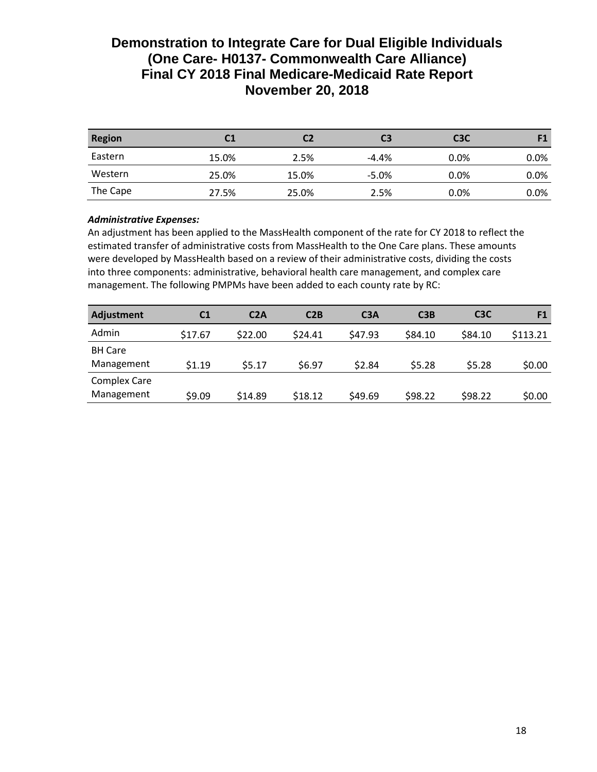| <b>Region</b> | C1    | C2    | C3      | C <sub>3</sub> C |         |
|---------------|-------|-------|---------|------------------|---------|
| Eastern       | 15.0% | 2.5%  | $-4.4%$ | $0.0\%$          | $0.0\%$ |
| Western       | 25.0% | 15.0% | $-5.0%$ | $0.0\%$          | 0.0%    |
| The Cape      | 27.5% | 25.0% | 2.5%    | 0.0%             | 0.0%    |

# *Administrative Expenses:*

An adjustment has been applied to the MassHealth component of the rate for CY 2018 to reflect the estimated transfer of administrative costs from MassHealth to the One Care plans. These amounts were developed by MassHealth based on a review of their administrative costs, dividing the costs into three components: administrative, behavioral health care management, and complex care management. The following PMPMs have been added to each county rate by RC:

| <b>Adjustment</b>                 | C <sub>1</sub> | C2A     | C2B     | C <sub>3</sub> A | C3B     | C <sub>3</sub> C | F <sub>1</sub> |
|-----------------------------------|----------------|---------|---------|------------------|---------|------------------|----------------|
| Admin                             | \$17.67        | \$22.00 | \$24.41 | \$47.93          | \$84.10 | \$84.10          | \$113.21       |
| <b>BH Care</b><br>Management      | \$1.19         | \$5.17  | \$6.97  | \$2.84           | \$5.28  | \$5.28           | \$0.00         |
| <b>Complex Care</b><br>Management | \$9.09         | \$14.89 | \$18.12 | \$49.69          | \$98.22 | \$98.22          | \$0.00         |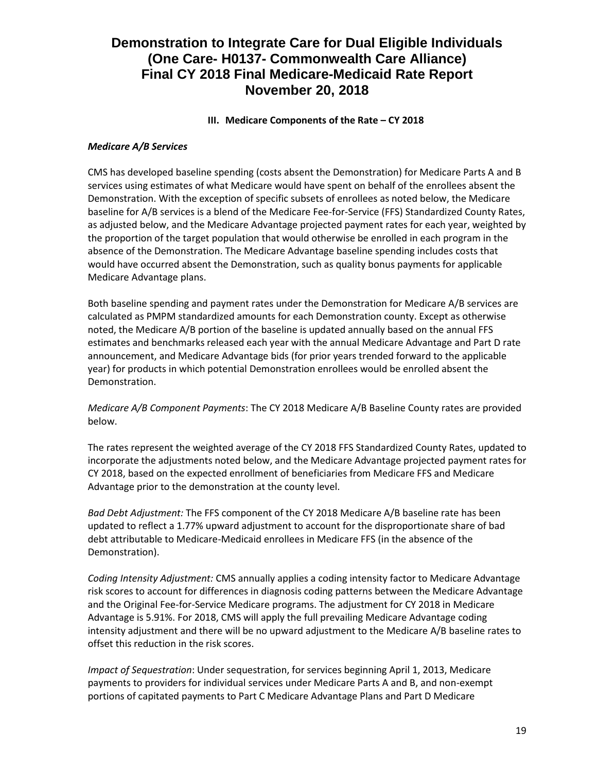# **III.** Medicare Components of the Rate – CY 2018

### *Medicare A/B Services*

CMS has developed baseline spending (costs absent the Demonstration) for Medicare Parts A and B services using estimates of what Medicare would have spent on behalf of the enrollees absent the Demonstration. With the exception of specific subsets of enrollees as noted below, the Medicare baseline for A/B services is a blend of the Medicare Fee-for-Service (FFS) Standardized County Rates, as adjusted below, and the Medicare Advantage projected payment rates for each year, weighted by the proportion of the target population that would otherwise be enrolled in each program in the absence of the Demonstration. The Medicare Advantage baseline spending includes costs that would have occurred absent the Demonstration, such as quality bonus payments for applicable Medicare Advantage plans.

Both baseline spending and payment rates under the Demonstration for Medicare A/B services are calculated as PMPM standardized amounts for each Demonstration county. Except as otherwise noted, the Medicare A/B portion of the baseline is updated annually based on the annual FFS estimates and benchmarks released each year with the annual Medicare Advantage and Part D rate announcement, and Medicare Advantage bids (for prior years trended forward to the applicable year) for products in which potential Demonstration enrollees would be enrolled absent the Demonstration.

## *Medicare A/B Component Payments*: The CY 2018 Medicare A/B Baseline County rates are provided below.

The rates represent the weighted average of the CY 2018 FFS Standardized County Rates, updated to incorporate the adjustments noted below, and the Medicare Advantage projected payment rates for CY 2018, based on the expected enrollment of beneficiaries from Medicare FFS and Medicare Advantage prior to the demonstration at the county level.

*Bad Debt Adjustment:* The FFS component of the CY 2018 Medicare A/B baseline rate has been updated to reflect a 1.77% upward adjustment to account for the disproportionate share of bad debt attributable to Medicare-Medicaid enrollees in Medicare FFS (in the absence of the Demonstration).

*Coding Intensity Adjustment:* CMS annually applies a coding intensity factor to Medicare Advantage risk scores to account for differences in diagnosis coding patterns between the Medicare Advantage and the Original Fee-for-Service Medicare programs. The adjustment for CY 2018 in Medicare Advantage is 5.91%. For 2018, CMS will apply the full prevailing Medicare Advantage coding intensity adjustment and there will be no upward adjustment to the Medicare A/B baseline rates to offset this reduction in the risk scores.

*Impact of Sequestration*: Under sequestration, for services beginning April 1, 2013, Medicare payments to providers for individual services under Medicare Parts A and B, and non-exempt portions of capitated payments to Part C Medicare Advantage Plans and Part D Medicare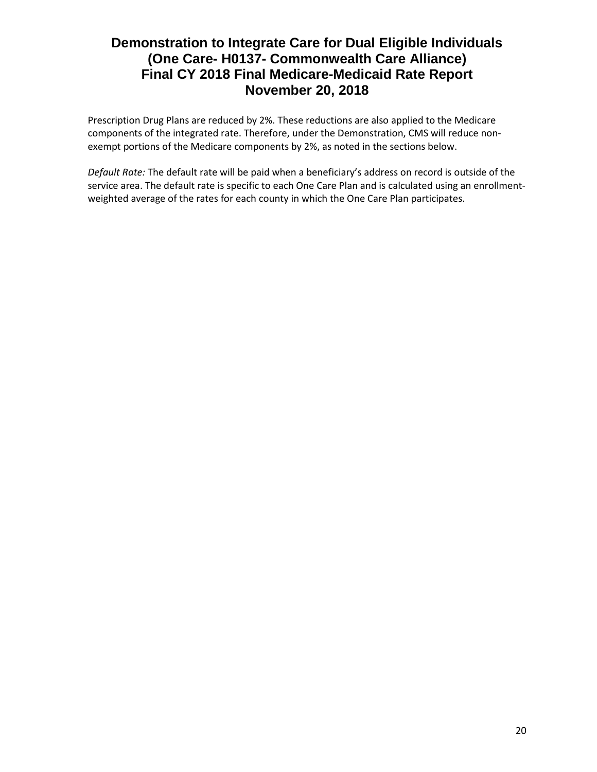Prescription Drug Plans are reduced by 2%. These reductions are also applied to the Medicare components of the integrated rate. Therefore, under the Demonstration, CMS will reduce nonexempt portions of the Medicare components by 2%, as noted in the sections below.

*Default Rate:* The default rate will be paid when a beneficiary's address on record is outside of the service area. The default rate is specific to each One Care Plan and is calculated using an enrollmentweighted average of the rates for each county in which the One Care Plan participates.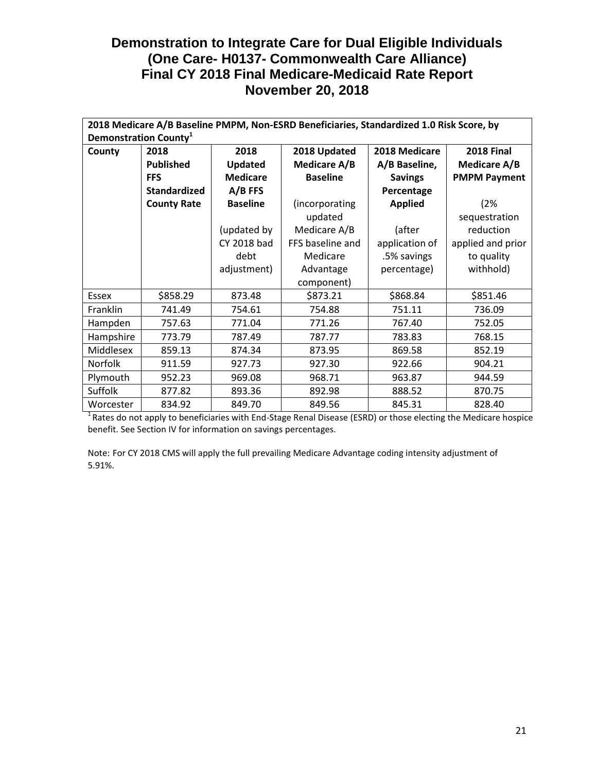|                |                                   |                    | 2018 Medicare A/B Baseline PMPM, Non-ESRD Beneficiaries, Standardized 1.0 Risk Score, by |                |                     |
|----------------|-----------------------------------|--------------------|------------------------------------------------------------------------------------------|----------------|---------------------|
|                | Demonstration County <sup>1</sup> |                    |                                                                                          |                |                     |
| County         | 2018                              | 2018               | 2018 Updated                                                                             | 2018 Medicare  | <b>2018 Final</b>   |
|                | <b>Published</b>                  | <b>Updated</b>     | <b>Medicare A/B</b>                                                                      | A/B Baseline,  | Medicare A/B        |
|                | <b>FFS</b>                        | <b>Medicare</b>    | <b>Baseline</b>                                                                          | <b>Savings</b> | <b>PMPM Payment</b> |
|                | <b>Standardized</b>               | $A/B$ FFS          |                                                                                          | Percentage     |                     |
|                | <b>County Rate</b>                | <b>Baseline</b>    | (incorporating                                                                           | <b>Applied</b> | (2%                 |
|                |                                   |                    | updated                                                                                  |                | sequestration       |
|                |                                   | (updated by        | Medicare A/B                                                                             | (after         | reduction           |
|                |                                   | <b>CY 2018 bad</b> | FFS baseline and                                                                         | application of | applied and prior   |
|                |                                   | debt               | Medicare                                                                                 | .5% savings    | to quality          |
|                |                                   | adjustment)        | Advantage                                                                                | percentage)    | withhold)           |
|                |                                   |                    | component)                                                                               |                |                     |
| <b>Essex</b>   | \$858.29                          | 873.48             | \$873.21                                                                                 | \$868.84       | \$851.46            |
| Franklin       | 741.49                            | 754.61             | 754.88                                                                                   | 751.11         | 736.09              |
| Hampden        | 757.63                            | 771.04             | 771.26                                                                                   | 767.40         | 752.05              |
| Hampshire      | 773.79                            | 787.49             | 787.77                                                                                   | 783.83         | 768.15              |
| Middlesex      | 859.13                            | 874.34             | 873.95                                                                                   | 869.58         | 852.19              |
| <b>Norfolk</b> | 911.59                            | 927.73             | 927.30                                                                                   | 922.66         | 904.21              |
| Plymouth       | 952.23                            | 969.08             | 968.71                                                                                   | 963.87         | 944.59              |
| Suffolk        | 877.82                            | 893.36             | 892.98                                                                                   | 888.52         | 870.75              |
| Worcester      | 834.92                            | 849.70             | 849.56                                                                                   | 845.31         | 828.40              |

 $1$ Rates do not apply to beneficiaries with End-Stage Renal Disease (ESRD) or those electing the Medicare hospice benefit. See Section IV for information on savings percentages.

Note: For CY 2018 CMS will apply the full prevailing Medicare Advantage coding intensity adjustment of 5.91%.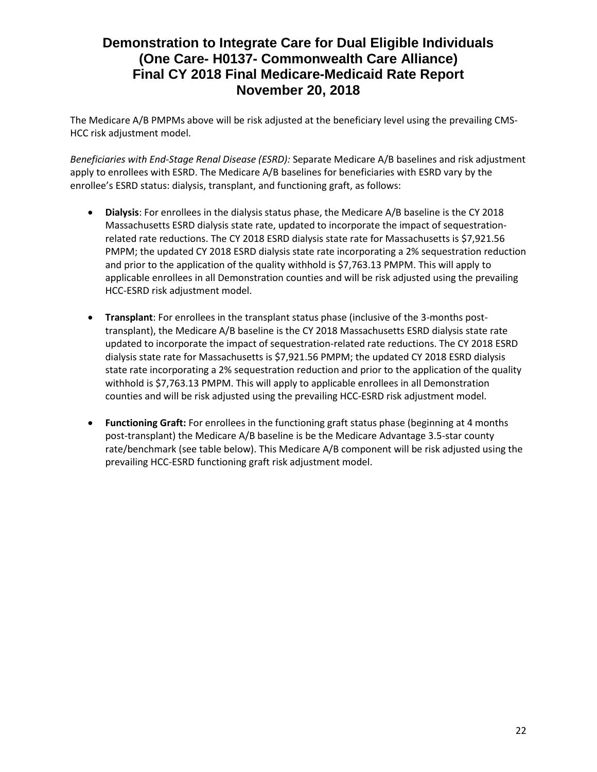The Medicare A/B PMPMs above will be risk adjusted at the beneficiary level using the prevailing CMS-HCC risk adjustment model.

*Beneficiaries with End-Stage Renal Disease (ESRD):* Separate Medicare A/B baselines and risk adjustment apply to enrollees with ESRD. The Medicare A/B baselines for beneficiaries with ESRD vary by the enrollee's ESRD status: dialysis, transplant, and functioning graft, as follows:

- **Dialysis**: For enrollees in the dialysis status phase, the Medicare A/B baseline is the CY 2018 Massachusetts ESRD dialysis state rate, updated to incorporate the impact of sequestrationrelated rate reductions. The CY 2018 ESRD dialysis state rate for Massachusetts is \$7,921.56 PMPM; the updated CY 2018 ESRD dialysis state rate incorporating a 2% sequestration reduction and prior to the application of the quality withhold is \$7,763.13 PMPM. This will apply to applicable enrollees in all Demonstration counties and will be risk adjusted using the prevailing HCC-ESRD risk adjustment model.
- **Transplant**: For enrollees in the transplant status phase (inclusive of the 3-months posttransplant), the Medicare A/B baseline is the CY 2018 Massachusetts ESRD dialysis state rate updated to incorporate the impact of sequestration-related rate reductions. The CY 2018 ESRD dialysis state rate for Massachusetts is \$7,921.56 PMPM; the updated CY 2018 ESRD dialysis state rate incorporating a 2% sequestration reduction and prior to the application of the quality withhold is \$7,763.13 PMPM. This will apply to applicable enrollees in all Demonstration counties and will be risk adjusted using the prevailing HCC-ESRD risk adjustment model.
- **Functioning Graft:** For enrollees in the functioning graft status phase (beginning at 4 months post-transplant) the Medicare A/B baseline is be the Medicare Advantage 3.5-star county rate/benchmark (see table below). This Medicare A/B component will be risk adjusted using the prevailing HCC-ESRD functioning graft risk adjustment model.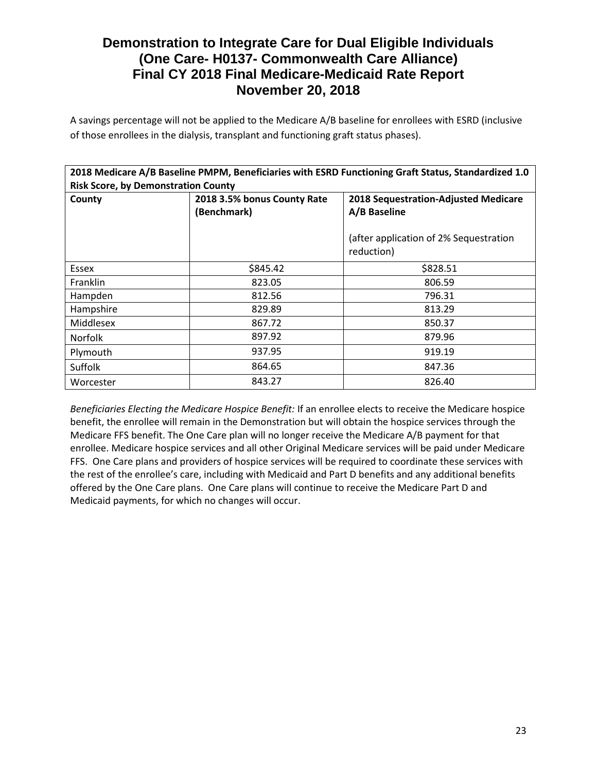A savings percentage will not be applied to the Medicare A/B baseline for enrollees with ESRD (inclusive of those enrollees in the dialysis, transplant and functioning graft status phases).

|                                            |                             | 2018 Medicare A/B Baseline PMPM, Beneficiaries with ESRD Functioning Graft Status, Standardized 1.0 |
|--------------------------------------------|-----------------------------|-----------------------------------------------------------------------------------------------------|
| <b>Risk Score, by Demonstration County</b> |                             |                                                                                                     |
| County                                     | 2018 3.5% bonus County Rate | <b>2018 Sequestration-Adjusted Medicare</b>                                                         |
|                                            | (Benchmark)                 | A/B Baseline                                                                                        |
|                                            |                             | (after application of 2% Sequestration<br>reduction)                                                |
| Essex                                      | \$845.42                    | \$828.51                                                                                            |
| <b>Franklin</b>                            | 823.05                      | 806.59                                                                                              |
| Hampden                                    | 812.56                      | 796.31                                                                                              |
| Hampshire                                  | 829.89                      | 813.29                                                                                              |
| Middlesex                                  | 867.72                      | 850.37                                                                                              |
| <b>Norfolk</b>                             | 897.92                      | 879.96                                                                                              |
| Plymouth                                   | 937.95                      | 919.19                                                                                              |
| Suffolk                                    | 864.65                      | 847.36                                                                                              |
| Worcester                                  | 843.27                      | 826.40                                                                                              |

*Beneficiaries Electing the Medicare Hospice Benefit:* If an enrollee elects to receive the Medicare hospice benefit, the enrollee will remain in the Demonstration but will obtain the hospice services through the Medicare FFS benefit. The One Care plan will no longer receive the Medicare A/B payment for that enrollee. Medicare hospice services and all other Original Medicare services will be paid under Medicare FFS. One Care plans and providers of hospice services will be required to coordinate these services with the rest of the enrollee's care, including with Medicaid and Part D benefits and any additional benefits offered by the One Care plans. One Care plans will continue to receive the Medicare Part D and Medicaid payments, for which no changes will occur.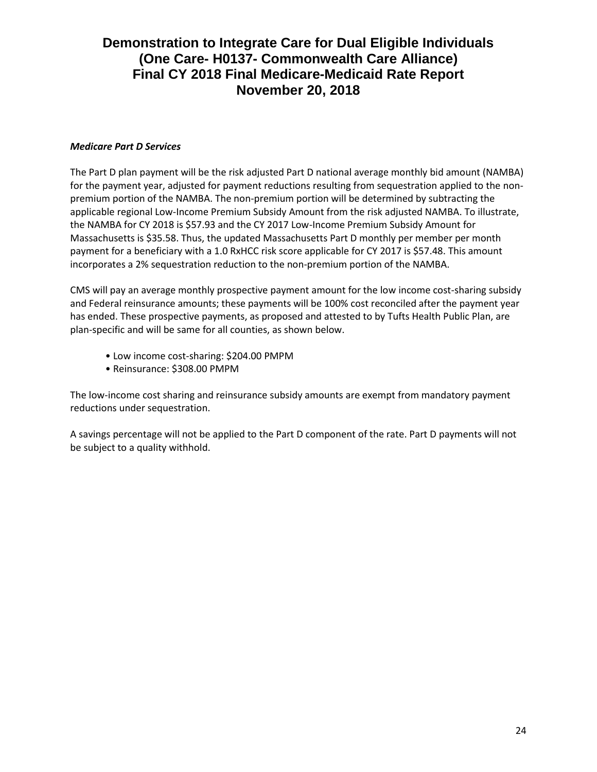### *Medicare Part D Services*

The Part D plan payment will be the risk adjusted Part D national average monthly bid amount (NAMBA) for the payment year, adjusted for payment reductions resulting from sequestration applied to the nonpremium portion of the NAMBA. The non-premium portion will be determined by subtracting the applicable regional Low-Income Premium Subsidy Amount from the risk adjusted NAMBA. To illustrate, the NAMBA for CY 2018 is \$57.93 and the CY 2017 Low-Income Premium Subsidy Amount for Massachusetts is \$35.58. Thus, the updated Massachusetts Part D monthly per member per month payment for a beneficiary with a 1.0 RxHCC risk score applicable for CY 2017 is \$57.48. This amount incorporates a 2% sequestration reduction to the non-premium portion of the NAMBA.

CMS will pay an average monthly prospective payment amount for the low income cost-sharing subsidy and Federal reinsurance amounts; these payments will be 100% cost reconciled after the payment year has ended. These prospective payments, as proposed and attested to by Tufts Health Public Plan, are plan-specific and will be same for all counties, as shown below.

- Low income cost-sharing: \$204.00 PMPM
- Reinsurance: \$308.00 PMPM

The low-income cost sharing and reinsurance subsidy amounts are exempt from mandatory payment reductions under sequestration.

A savings percentage will not be applied to the Part D component of the rate. Part D payments will not be subject to a quality withhold.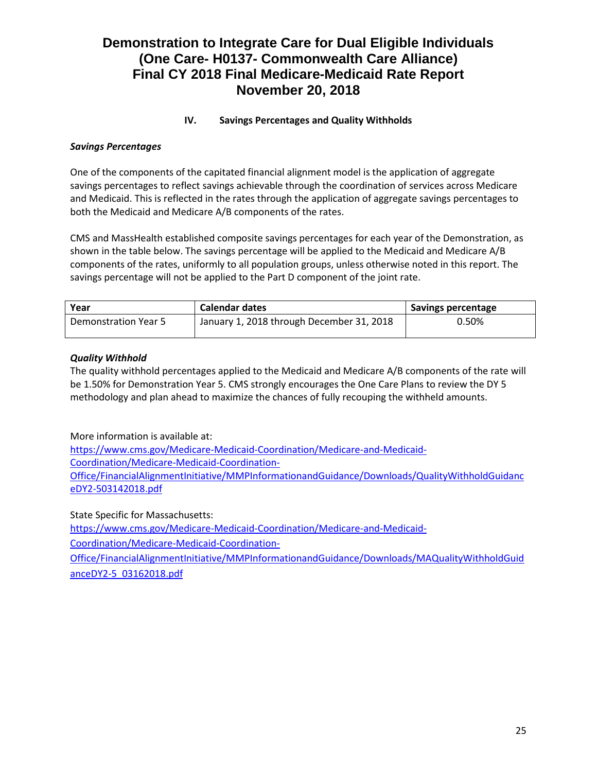# **IV. Savings Percentages and Quality Withholds**

# *Savings Percentages*

One of the components of the capitated financial alignment model is the application of aggregate savings percentages to reflect savings achievable through the coordination of services across Medicare and Medicaid. This is reflected in the rates through the application of aggregate savings percentages to both the Medicaid and Medicare A/B components of the rates.

CMS and MassHealth established composite savings percentages for each year of the Demonstration, as shown in the table below. The savings percentage will be applied to the Medicaid and Medicare A/B components of the rates, uniformly to all population groups, unless otherwise noted in this report. The savings percentage will not be applied to the Part D component of the joint rate.

| Year                        | <b>Calendar dates</b>                     | Savings percentage |
|-----------------------------|-------------------------------------------|--------------------|
| <b>Demonstration Year 5</b> | January 1, 2018 through December 31, 2018 | 0.50%              |

## *Quality Withhold*

The quality withhold percentages applied to the Medicaid and Medicare A/B components of the rate will be 1.50% for Demonstration Year 5. CMS strongly encourages the One Care Plans to review the DY 5 methodology and plan ahead to maximize the chances of fully recouping the withheld amounts.

More information is available at:

https://www.cms.gov/Medicare-Medicaid-Coordination/Medicare-and-Medicaid-Coordination/Medicare-Medicaid-Coordination-Office/FinancialAlignmentInitiative/MMPInformationandGuidance/Downloads/QualityWithholdGuidanc eDY2-503142018.pdf

State Specific for Massachusetts: [https://www.cms.gov/Medicare-Medicaid-Coordination/Medicare-and-Medicaid-](https://www.cms.gov/Medicare-Medicaid-Coordination/Medicare-and-Medicaid-Coordination/Medicare-Medicaid-Coordination-Office/FinancialAlignmentInitiative/MMPInformationandGuidance/Downloads/MAQualityWithholdGuidanceDY2-5_03162018.pdf)

[Coordination/Medicare-Medicaid-Coordination-](https://www.cms.gov/Medicare-Medicaid-Coordination/Medicare-and-Medicaid-Coordination/Medicare-Medicaid-Coordination-Office/FinancialAlignmentInitiative/MMPInformationandGuidance/Downloads/MAQualityWithholdGuidanceDY2-5_03162018.pdf)

[Office/FinancialAlignmentInitiative/MMPInformationandGuidance/Downloads/MAQualityWithholdGuid](https://www.cms.gov/Medicare-Medicaid-Coordination/Medicare-and-Medicaid-Coordination/Medicare-Medicaid-Coordination-Office/FinancialAlignmentInitiative/MMPInformationandGuidance/Downloads/MAQualityWithholdGuidanceDY2-5_03162018.pdf) [anceDY2-5\\_03162018.pdf](https://www.cms.gov/Medicare-Medicaid-Coordination/Medicare-and-Medicaid-Coordination/Medicare-Medicaid-Coordination-Office/FinancialAlignmentInitiative/MMPInformationandGuidance/Downloads/MAQualityWithholdGuidanceDY2-5_03162018.pdf)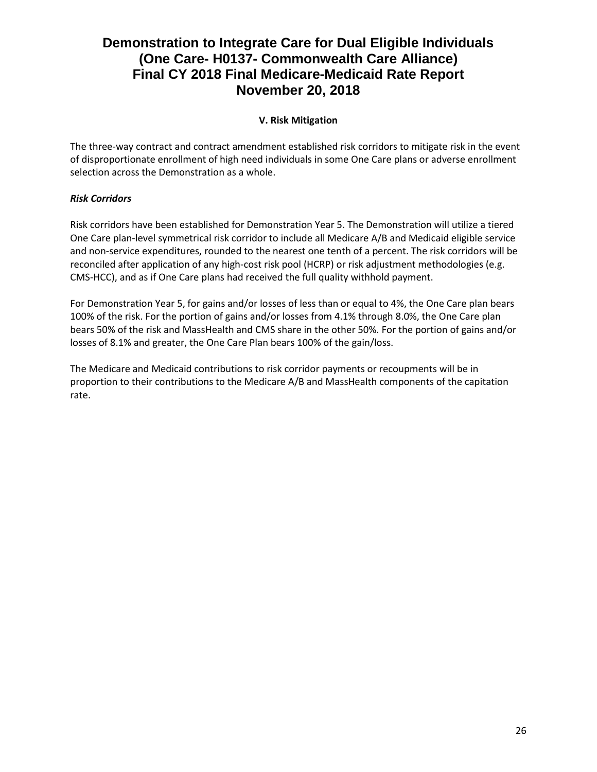# **V. Risk Mitigation**

The three-way contract and contract amendment established risk corridors to mitigate risk in the event of disproportionate enrollment of high need individuals in some One Care plans or adverse enrollment selection across the Demonstration as a whole.

# *Risk Corridors*

Risk corridors have been established for Demonstration Year 5. The Demonstration will utilize a tiered One Care plan-level symmetrical risk corridor to include all Medicare A/B and Medicaid eligible service and non-service expenditures, rounded to the nearest one tenth of a percent. The risk corridors will be reconciled after application of any high-cost risk pool (HCRP) or risk adjustment methodologies (e.g. CMS-HCC), and as if One Care plans had received the full quality withhold payment.

For Demonstration Year 5, for gains and/or losses of less than or equal to 4%, the One Care plan bears 100% of the risk. For the portion of gains and/or losses from 4.1% through 8.0%, the One Care plan bears 50% of the risk and MassHealth and CMS share in the other 50%. For the portion of gains and/or losses of 8.1% and greater, the One Care Plan bears 100% of the gain/loss.

The Medicare and Medicaid contributions to risk corridor payments or recoupments will be in proportion to their contributions to the Medicare A/B and MassHealth components of the capitation rate.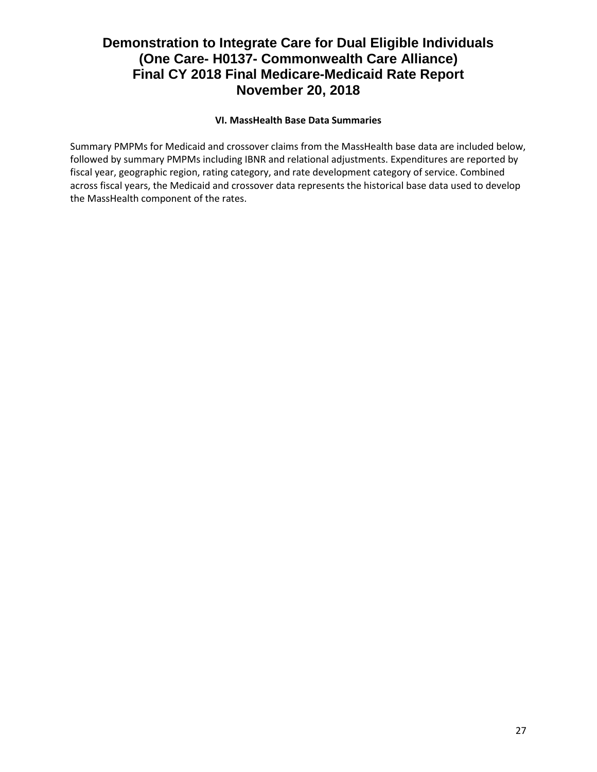# **VI. MassHealth Base Data Summaries**

Summary PMPMs for Medicaid and crossover claims from the MassHealth base data are included below, followed by summary PMPMs including IBNR and relational adjustments. Expenditures are reported by fiscal year, geographic region, rating category, and rate development category of service. Combined across fiscal years, the Medicaid and crossover data represents the historical base data used to develop the MassHealth component of the rates.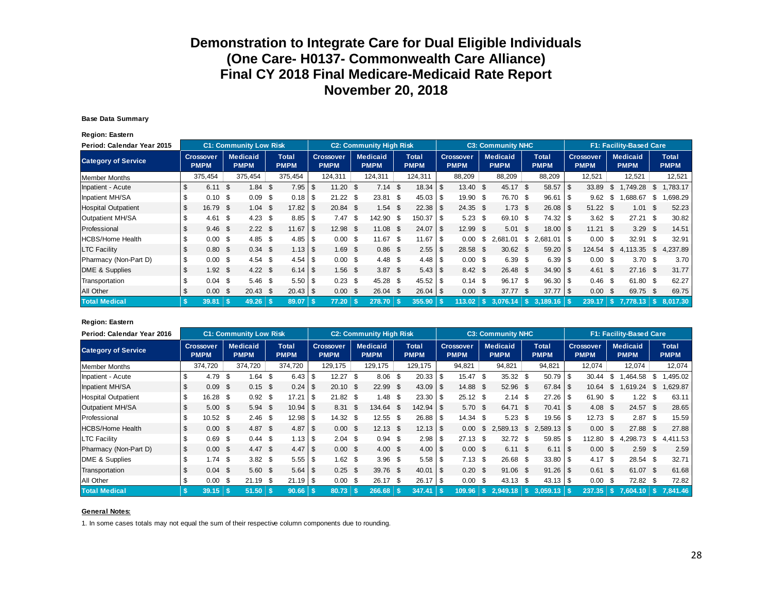#### **Base Data Summary**

**Region: Eastern**

| Period: Calendar Year 2015 |      |                                 |      | <b>C1: Community Low Risk</b>  |      |                             |      |                                 |          | <b>C2: Community High Risk</b> |                             |      |                                 |      | <b>C3: Community NHC</b>       |      |                             |      |                                 |     | <b>F1: Facility-Based Care</b> |      |                             |
|----------------------------|------|---------------------------------|------|--------------------------------|------|-----------------------------|------|---------------------------------|----------|--------------------------------|-----------------------------|------|---------------------------------|------|--------------------------------|------|-----------------------------|------|---------------------------------|-----|--------------------------------|------|-----------------------------|
| <b>Category of Service</b> |      | <b>Crossover</b><br><b>PMPM</b> |      | <b>Medicaid</b><br><b>PMPM</b> |      | <b>Total</b><br><b>PMPM</b> |      | <b>Crossover</b><br><b>PMPM</b> |          | <b>Medicaid</b><br><b>PMPM</b> | <b>Total</b><br><b>PMPM</b> |      | <b>Crossover</b><br><b>PMPM</b> |      | <b>Medicaid</b><br><b>PMPM</b> |      | <b>Total</b><br><b>PMPM</b> |      | <b>Crossover</b><br><b>PMPM</b> |     | <b>Medicaid</b><br><b>PMPM</b> |      | <b>Total</b><br><b>PMPM</b> |
| Member Months              |      | 375,454                         |      | 375,454                        |      | 375,454                     |      | 124,311                         |          | 124,311                        | 124,311                     |      | 88,209                          |      | 88,209                         |      | 88,209                      |      | 12,521                          |     | 12,521                         |      | 12,521                      |
| Inpatient - Acute          | S    | 6.11                            | \$.  | 1.84                           | -\$  | $7.95$ \$                   |      | $11.20$ \$                      |          | $7.14$ \$                      |                             |      | $13.40$ \$                      |      | 45.17                          | \$   | 58.57                       | \$   | 33.89                           | S   | .749.28                        | \$.  | .783.17                     |
| Inpatient MH/SA            |      | 0.10                            | \$.  | 0.09                           | - \$ |                             |      | $21.22$ \$                      |          | $23.81$ \$                     | $45.03$ \$                  |      | 19.90 \$                        |      | 76.70 \$                       |      | $96.61$ \ \$                |      | 9.62                            | \$. | 688.67                         | \$.  | .698.29                     |
| <b>Hospital Outpatient</b> |      | 16.79                           | - \$ | 1.04                           | -\$  | 17.82                       |      | 20.84 \$                        |          | 1.54                           | \$                          |      | $24.35$ \$                      |      | $1.73$ \$                      |      | 26.08                       | - \$ | $51.22$ \$                      |     | 1.01                           | - \$ | 52.23                       |
| Outpatient MH/SA           |      | 4.61                            | \$   | 4.23                           | - \$ | $8.85$ \ \ \$               |      | 7.47                            | <b>S</b> | 142.90 \$                      | $150.37$ \$                 |      | 5.23                            | - \$ | 69.10                          | - \$ | 74.32                       | - \$ | $3.62$ \$                       |     | 27.21                          | - \$ | 30.82                       |
| Professional               | \$   | 9.46                            | - \$ | $2.22 \quad$ \$                |      | 11.67                       | l \$ | $12.98$ \$                      |          | $11.08$ \$                     | 24.07                       | l \$ | 12.99 \$                        |      | 5.01                           | - \$ | 18.00                       | - \$ | $11.21$ \$                      |     | 3.29                           | - \$ | 14.51                       |
| <b>HCBS/Home Health</b>    |      | 0.00                            | -\$  | $4.85$ \$                      |      |                             |      | $0.00\,$ \$                     |          | $11.67$ \$                     | 11.67                       | l \$ | 0.00                            | S.   | 2.681.01                       | -S   | $2,681.01$ \ \$             |      | $0.00 \,$ \$                    |     | 32.91                          | - \$ | 32.91                       |
| <b>LTC Facility</b>        |      | 0.80                            | -\$  | $0.34 \text{ } $s$             |      |                             |      | $1.69$ \$                       |          | $0.86$ \$                      |                             |      | 28.58                           | - \$ | $30.62$ \$                     |      | 59.20                       | -\$  | 124.54                          | \$  | 4,113.35                       | S.   | 4,237.89                    |
| Pharmacy (Non-Part D)      | \$   | 0.00                            | - \$ | 4.54                           | - \$ |                             |      | $0.00 \,$ \$                    |          | $4.48 \quad $$                 | $4.48$ \ \$                 |      | $0.00 \,$ \$                    |      | 6.39 <sup>5</sup>              |      | 6.39                        | - \$ | $0.00 \,$ \$                    |     | 3.70 <sup>5</sup>              |      | 3.70                        |
| DME & Supplies             | \$   | 1.92                            | - \$ | $4.22 \quad $$                 |      |                             |      | $1.56$ \$                       |          | $3.87$ \$                      |                             |      | $8.42 \quad $$                  |      | 26.48                          | - \$ | $34.90$ \$                  |      | $4.61 \text{ }$ \$              |     | $27.16$ \$                     |      | 31.77                       |
| Transportation             | \$   | $0.04$ \$                       |      | $5.46$ \$                      |      | $5.50$ \ \$                 |      | $0.23$ \$                       |          | 45.28 \$                       |                             |      | $0.14$ \$                       |      | 96.17 \$                       |      | 96.30                       | -\$  | $0.46$ \$                       |     | 61.80 \$                       |      | 62.27                       |
| All Other                  | \$   | 0.00                            | \$   | $20.43$ \$                     |      |                             |      | $0.00 \,$ \$                    |          | $26.04$ \$                     | $26.04$ \$                  |      | 0.00                            | - \$ | 37.77                          | - \$ | 37.77                       | ۱S.  | $0.00 \,$ \$                    |     | 69.75 \$                       |      | 69.75                       |
| <b>Total Medical</b>       | - \$ | 39.81                           |      |                                |      | 89.07                       |      | 77.20                           |          | 278.70                         | 355,90                      |      | 113.02                          |      | 3.076.14                       | S.   | 3.189.16                    |      | 239.17                          |     | 7.778.13                       | - 5  | 8.017.30                    |

#### **Region: Eastern**

| Period: Calendar Year 2016 |     |                                 |      | <b>C1: Community Low Risk</b>  |      |                             |                |                                 |       | <b>C2: Community High Risk</b> |                             |            |                                 |      | <b>C3: Community NHC</b>       |     |                             |                                 |      | <b>F1: Facility-Based Care</b> |      |                             |
|----------------------------|-----|---------------------------------|------|--------------------------------|------|-----------------------------|----------------|---------------------------------|-------|--------------------------------|-----------------------------|------------|---------------------------------|------|--------------------------------|-----|-----------------------------|---------------------------------|------|--------------------------------|------|-----------------------------|
| <b>Category of Service</b> |     | <b>Crossover</b><br><b>PMPM</b> |      | <b>Medicaid</b><br><b>PMPM</b> |      | <b>Total</b><br><b>PMPM</b> |                | <b>Crossover</b><br><b>PMPM</b> |       | <b>Medicaid</b><br><b>PMPM</b> | <b>Total</b><br><b>PMPM</b> |            | <b>Crossover</b><br><b>PMPM</b> |      | <b>Medicaid</b><br><b>PMPM</b> |     | <b>Total</b><br><b>PMPM</b> | <b>Crossover</b><br><b>PMPM</b> |      | <b>Medicaid</b><br><b>PMPM</b> |      | <b>Total</b><br><b>PMPM</b> |
| <b>Member Months</b>       |     | 374,720                         |      | 374,720                        |      | 374,720                     |                | 129,175                         |       | 129,175                        | 129,175                     |            | 94,821                          |      | 94,821                         |     | 94,821                      | 12,074                          |      | 12,074                         |      | 12,074                      |
| Inpatient - Acute          |     | 4.79                            | £.   | 1.64                           | S.   | $6.43$ \ $$$                |                | 12.27                           | ີ \$⊺ | $8.06$ \$                      | 20.33                       | \$.        | 15.47                           | S.   | 35.32                          | \$  | $50.79$ \$                  | 30.44                           | - \$ | .464.58                        | -S   | .495.02                     |
| Inpatient MH/SA            | -S  | 0.09                            | -\$  | $0.15$ \$                      |      | 0.24                        | $\overline{1}$ | $20.10 \text{ }$ \$             |       | $22.99$ \$                     |                             |            | 14.88 \$                        |      | 52.96 \$                       |     | $67.84$ \ \ \$              | 10.64                           | - S  | 1,619.24                       | \$   | 1,629.87                    |
| <b>Hospital Outpatient</b> |     | 16.28                           | -\$  | $0.92 \quad $$                 |      | 17.21                       |                | $21.82$ \$                      |       | 1.48 \$                        |                             |            | $25.12$ \$                      |      | 2.14                           | \$  |                             | 61.90 \$                        |      | 1.22                           | - \$ | 63.11                       |
| Outpatient MH/SA           |     | 5.00                            | -\$  | 5.94                           | - \$ | 10.94                       | l \$           | $8.31$ \$                       |       | 134.64 \$                      |                             |            | 5.70                            | -\$  | 64.71                          | -\$ | $70.41$ \ \$                | $4.08 \quad $$                  |      | $24.57$ \$                     |      | 28.65                       |
| Professional               | S.  | $10.52$ \$                      |      | $2.46$ \$                      |      | 12.98                       |                | $14.32$ \$                      |       | $12.55$ \$                     | $26.88$ \ \ \$              |            | 14.34                           | - \$ | 5.23                           | \$  | $19.56$ \$                  | $12.73$ \$                      |      | $2.87$ \$                      |      | 15.59                       |
| <b>HCBS/Home Health</b>    | \$  | $0.00 \text{ }$ \$              |      | $4.87$ \$                      |      | 4.87                        | $\sqrt{3}$     | $0.00 \,$ \$                    |       | $12.13$ \$                     |                             |            | 0.00                            | \$   | 2.589.13                       | \$  |                             | $0.00 \,$ \$                    |      | 27.88 \$                       |      | 27.88                       |
| <b>LTC Facility</b>        |     | 0.69                            | \$   | $0.44 \text{ } $$              |      | 1.13                        |                | $2.04$ \$                       |       | $0.94$ \$                      |                             |            | 27.13                           | - \$ | 32.72                          | -\$ | $59.85$ \ \$                | 112.80                          | - \$ | .298.73<br>4                   | \$   | 4.411.53                    |
| Pharmacy (Non-Part D)      | \$  | $0.00 \,$ \$                    |      | 4.47 $$$                       |      | 4.47                        | $\overline{5}$ | $0.00 \,$ \$                    |       | $4.00 \text{ }$ \$             |                             |            | $0.00 \,$ \$                    |      | $6.11 \text{ } $$              |     |                             | $0.00 \text{ }$ \$              |      | $2.59$ \$                      |      | 2.59                        |
| DME & Supplies             | \$  | $1.74$ \$                       |      | $3.82$ \$                      |      |                             |                | $1.62 \quad$ \$                 |       | $3.96$ \$                      |                             |            | 7.13                            | \$   | 26.68 \$                       |     | $33.80$ \ \$                | $4.17$ \$                       |      | $28.54$ \$                     |      | 32.71                       |
| Transportation             | \$. | $0.04$ \$                       |      | $5.60$ \$                      |      | $5.64$ \ \ \$               |                | $0.25$ \$                       |       | $39.76$ \$                     | 40.01                       | $\sqrt{3}$ | 0.20                            | - \$ | $91.06$ \$                     |     |                             | $0.61$ \$                       |      | 61.07 \$                       |      | 61.68                       |
| All Other                  | S.  | 0.00                            | - \$ | $21.19$ \$                     |      | $21.19$ \$                  |                | $0.00 \,$ \$                    |       | 26.17 \$                       |                             |            | 0.00                            | - \$ | $43.13$ \$                     |     | $43.13$ \$                  | $0.00 \,$ \$                    |      | 72.82 \$                       |      | 72.82                       |
| <b>Total Medical</b>       | -S  | 39.15                           | -S   | $51.50$ \ \$                   |      | 90.66                       |                | 80.73                           |       | 266.68                         | 347.41                      |            | 109.96                          | -S.  | 2,949.18                       |     | $3.059.13$ \$               |                                 |      | $237.35$   \$ 7.604.10         |      | 7.841.46                    |

#### **General Notes:**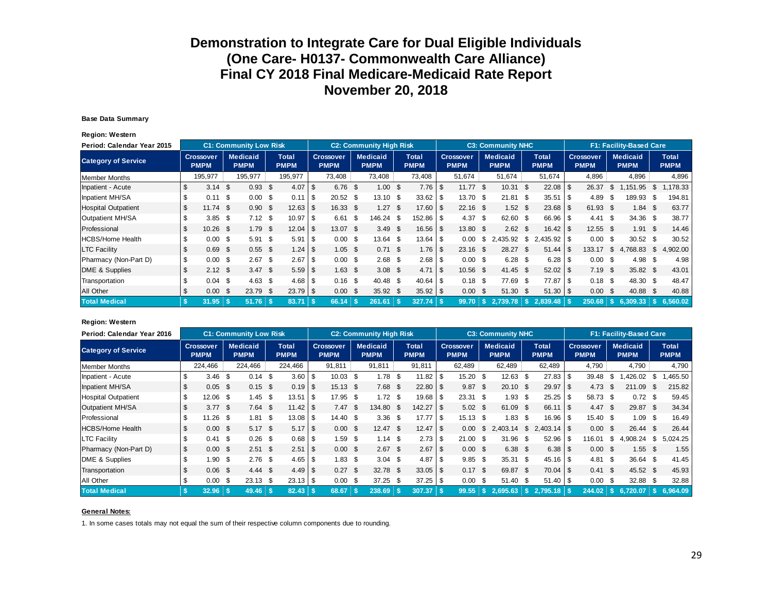#### **Base Data Summary**

**Region: Western**

| Period: Calendar Year 2015 |                |                                 |      | <b>C1: Community Low Risk</b>  |      |                      |            |                                 | <b>C2: Community High Risk</b> |                             |            |                          |      | <b>C3: Community NHC</b>       |      |                             |      |                                 |     | F1: Facility-Based Care        |      |                             |
|----------------------------|----------------|---------------------------------|------|--------------------------------|------|----------------------|------------|---------------------------------|--------------------------------|-----------------------------|------------|--------------------------|------|--------------------------------|------|-----------------------------|------|---------------------------------|-----|--------------------------------|------|-----------------------------|
| <b>Category of Service</b> |                | <b>Crossover</b><br><b>PMPM</b> |      | <b>Medicaid</b><br><b>PMPM</b> |      | Total<br><b>PMPM</b> |            | <b>Crossover</b><br><b>PMPM</b> | <b>Medicaid</b><br><b>PMPM</b> | <b>Total</b><br><b>PMPM</b> |            | Crossover<br><b>PMPM</b> |      | <b>Medicaid</b><br><b>PMPM</b> |      | <b>Total</b><br><b>PMPM</b> |      | <b>Crossover</b><br><b>PMPM</b> |     | <b>Medicaid</b><br><b>PMPM</b> |      | <b>Total</b><br><b>PMPM</b> |
| Member Months              |                | 195,977                         |      | 195,977                        |      | 195,977              |            | 73,408                          | 73,408                         | 73,408                      |            | 51,674                   |      | 51,674                         |      | 51,674                      |      | 4,896                           |     | 4,896                          |      | 4,896                       |
| Inpatient - Acute          | \$             | $3.14$ \$                       |      | $0.93$ \$                      |      | 4.07                 | \$.        | $6.76$ \$                       | $1.00$ \$                      | $7.76$ \$                   |            | 11.77                    | - \$ | 10.31                          | - \$ | $22.08$ \$                  |      | 26.37                           | \$  | .151.95                        | \$   | .178.33                     |
| Inpatient MH/SA            |                | 0.11                            | \$   | 0.00                           | - \$ | 0.11                 | $\sqrt{S}$ | $20.52$ \$                      | $13.10$ \$                     | 33.62                       | \$         | 13.70                    | - \$ | 21.81                          | - \$ | 35.51                       | 1 S  | 4.89                            | \$. | 189.93                         | \$   | 194.81                      |
| <b>Hospital Outpatient</b> | \$             | $11.74$ \$                      |      | 0.90                           | - \$ | 12.63                | \$         | 16.33 \$                        | $1.27$ \$                      | 17.60                       | \$         | $22.16$ \$               |      | $1.52$ \$                      |      | $23.68$ \$                  |      | 61.93 \$                        |     | $1.84$ \$                      |      | 63.77                       |
| Outpatient MH/SA           |                | $3.85$ \$                       |      | $7.12$ \$                      |      | 10.97                | ′ I \$     | $6.61$ \$                       | 146.24 \$                      | $152.86$ \ \$               |            | 4.37                     | - \$ | 62.60 \$                       |      | 66.96 \$                    |      | $4.41 \text{ } $$               |     | 34.36 \$                       |      | 38.77                       |
| Professional               | \$             | $10.26$ \$                      |      | $1.79$ \$                      |      | 12.04                | ∣\$.       | 13.07 \$                        | $3.49$ \$                      |                             |            | 13.80 \$                 |      | $2.62 \quad$                   |      |                             |      | $12.55$ \$                      |     | $1.91$ \$                      |      | 14.46                       |
| HCBS/Home Health           | \$             | 0.00                            | -\$  | $5.91$ \$                      |      | 5.91                 | l \$       | $0.00 \text{ }$ \$              | 13.64                          | \$<br>13.64                 | \$         | 0.00                     | \$   | 2,435.92                       | \$   | $2,435.92$ \$               |      | $0.00 \text{ }$ \$              |     | $30.52$ \$                     |      | 30.52                       |
| <b>LTC Facility</b>        |                | 0.69                            | - \$ | $0.55$ \$                      |      |                      |            | $1.05$ \$                       | $0.71 \text{ }$ \$             | 1.76                        | -\$        | $23.16$ \$               |      | 28.27                          | - \$ | 51.44                       | - \$ | 133.17                          | \$  | 4,768.83                       | \$   | 4,902.00                    |
| Pharmacy (Non-Part D)      | \$             | 0.00                            | -\$  | $2.67$ \$                      |      | 2.67                 | l \$       | $0.00\,$ \$                     | $2.68$ \$                      | 2.68                        | \$         | 0.00                     | - \$ | $6.28$ \$                      |      |                             |      | $0.00 \,$ \$                    |     | 4.98                           | - \$ | 4.98                        |
| DME & Supplies             | $\mathfrak{L}$ | $2.12$ \$                       |      | $3.47$ \$                      |      |                      |            | $1.63$ \$                       | $3.08$ \$                      | 4.71                        | $\sqrt{3}$ | 10.56 \$                 |      | $41.45$ \$                     |      |                             |      | $7.19$ \$                       |     | 35.82 \$                       |      | 43.01                       |
| Transportation             |                | 0.04                            | - \$ | $4.63$ \$                      |      | $4.68$ \ \ \$        |            | $0.16$ \$                       | 40.48 \$                       | 40.64                       | -\$        | $0.18$ \$                |      | 77.69 \$                       |      | 77.87 \$                    |      | $0.18$ \$                       |     | 48.30 \$                       |      | 48.47                       |
| All Other                  | S              | 0.00                            | - \$ | 23.79 \$                       |      | $23.79$ \ \ \$       |            | $0.00 \,$ \$                    | $35.92$ \$                     | $35.92$ \$                  |            | 0.00                     | - \$ | $51.30$ \$                     |      |                             |      | $0.00 \,$ \$                    |     | 40.88                          | - \$ | 40.88                       |
| <b>Total Medical</b>       | - \$           | 31.95                           |      | $51.76$ \ \$                   |      | 83.71                |            | 66.14                           | 261.61                         | $327.74$ \$                 |            | 99.70                    |      |                                |      | 2,839.48                    |      | 250.68                          |     | $6,309,33$ \$                  |      | 6.560.02                    |

#### **Region: Western**

| Period: Calendar Year 2016 |                    |                                 |      | <b>C1: Community Low Risk</b>  |      |                             |      |                                 | <b>C2: Community High Risk</b> |                             |          |                                 |      | <b>C3: Community NHC</b> |              |                             |                                 |      | F1: Facility-Based Care        |    |                             |
|----------------------------|--------------------|---------------------------------|------|--------------------------------|------|-----------------------------|------|---------------------------------|--------------------------------|-----------------------------|----------|---------------------------------|------|--------------------------|--------------|-----------------------------|---------------------------------|------|--------------------------------|----|-----------------------------|
| <b>Category of Service</b> |                    | <b>Crossover</b><br><b>PMPM</b> |      | <b>Medicaid</b><br><b>PMPM</b> |      | <b>Total</b><br><b>PMPM</b> |      | <b>Crossover</b><br><b>PMPM</b> | <b>Medicaid</b><br><b>PMPM</b> | <b>Total</b><br><b>PMPM</b> |          | <b>Crossover</b><br><b>PMPM</b> |      | Medicaid<br><b>PMPM</b>  |              | <b>Total</b><br><b>PMPM</b> | <b>Crossover</b><br><b>PMPM</b> |      | <b>Medicaid</b><br><b>PMPM</b> |    | <b>Total</b><br><b>PMPM</b> |
| <b>Member Months</b>       |                    | 224,466                         |      | 224,466                        |      | 224,466                     |      | 91,811                          | 91.811                         | 91,811                      |          | 62,489                          |      | 62,489                   |              | 62,489                      | 4,790                           |      | 4,790                          |    | 4,790                       |
| Inpatient - Acute          |                    | 3.46                            | -S   | 0.14                           | - \$ | 3.60                        | -\$  | $10.03$ \$                      | $1.78$ \$                      | 11.82                       |          | 15.20                           | \$   | 12.63                    | \$           | $27.83$ \$                  | 39.48                           | - \$ | .426.02                        | S. | ,465.50                     |
| Inpatient MH/SA            | S.                 | $0.05$ \$                       |      | $0.15$ \$                      |      | 0.19                        | - \$ | $15.13$ \$                      | $7.68$ \$                      | 22.80                       | <b>S</b> | 9.87                            | - \$ | $20.10$ \$               |              | $29.97$ \$                  | $4.73$ \$                       |      | 211.09                         | -S | 215.82                      |
| <b>Hospital Outpatient</b> | \$.                | 12.06 \$                        |      | 1.45                           | - \$ | 13.51                       | -\$  | 17.95 \$                        | $1.72$ \$                      | 19.68                       | l \$     | $23.31$ \$                      |      | 1.93                     | \$           | $25.25$ \$                  | 58.73 \$                        |      | $0.72$ \$                      |    | 59.45                       |
| Outpatient MH/SA           | \$                 | $3.77$ \$                       |      | $7.64$ \$                      |      |                             |      | 7.47 S                          | 134.80 \$                      | 142.27                      | - \$     | $5.02 \text{ } $$               |      | 61.09                    | - \$         |                             | 4.47 S                          |      | 29.87 \$                       |    | 34.34                       |
| Professional               | S.                 | $11.26$ \$                      |      | 1.81                           | -\$  |                             |      | $14.40 \text{ } $$              | $3.36$ \$                      | 17.77                       | -\$      | 15.13                           | \$   | 1.83                     | \$.          | $16.96$ \$                  | 15.40 \$                        |      | 1.09 S                         |    | 16.49                       |
| <b>HCBS/Home Health</b>    | \$                 | $0.00\quad$ \$                  |      | $5.17$ \$                      |      |                             |      | $0.00 \,$ \$                    | $12.47$ \$                     |                             |          | 0.00                            | \$   | 2.403.14                 | \$           |                             | $0.00 \text{ }$ \$              |      | $26.44$ \$                     |    | 26.44                       |
| <b>LTC Facility</b>        |                    | 0.41                            | - \$ | $0.26$ \$                      |      | 0.68                        | -\$  | $1.59$ \$                       | $1.14$ \$                      | 2.73                        | l \$     | 21.00                           | \$   | 31.96                    | \$           | $52.96$ \$                  | 16.01                           | - S  | 4.908.24                       | \$ | 5,024.25                    |
| Pharmacy (Non-Part D)      | $\mathbf{\hat{S}}$ | $0.00 \,$ \$                    |      | $2.51$ \$                      |      | 2.51                        | ۱S.  | $0.00 \,$ \$                    | $2.67$ \$                      | 2.67                        | \$       | $0.00 \,$ \$                    |      | $6.38$ \$                |              | $6.38$ \ \ \$               | $0.00 \,$ \$                    |      | $1.55$ \$                      |    | 1.55                        |
| DME & Supplies             | \$                 | 1.90                            | \$   | $2.76$ \$                      |      |                             |      | $1.83$ \$                       | $3.04$ \$                      | 4.87                        | -S       | 9.85                            | \$   | 35.31                    | - \$         | $45.16$ \$                  | $4.81 \quad$ \$                 |      | $36.64$ \$                     |    | 41.45                       |
| Transportation             | \$                 | $0.06$ \$                       |      | $4.44 \text{ } $$              |      | 4.49                        | -\$  | $0.27$ \$                       | 32.78 \$                       | $33.05$ \$                  |          | 0.17                            | - \$ | 69.87                    | $\mathsf{s}$ | $70.04$ \$                  | $0.41 \text{ } $s$              |      | 45.52 \$                       |    | 45.93                       |
| All Other                  | S                  | 0.00                            | - \$ | $23.13$ \$                     |      |                             |      | $0.00\,$ \$                     | $37.25$ \$                     |                             |          | 0.00                            | - \$ | 51.40                    | - \$         | $51.40$ \ \$                | $0.00 \,$ \$                    |      | 32.88 \$                       |    | 32.88                       |
| <b>Total Medical</b>       |                    | 32.96                           |      |                                |      | 82.43                       |      | 68.67                           | 238.69                         | 307.37                      | -\$      | 99.55                           |      | $S$ 2.695.63 $S$         |              |                             |                                 |      | $244.02$ $\sqrt{5}$ 6,720.07   |    | 6.964.09                    |

#### **General Notes:**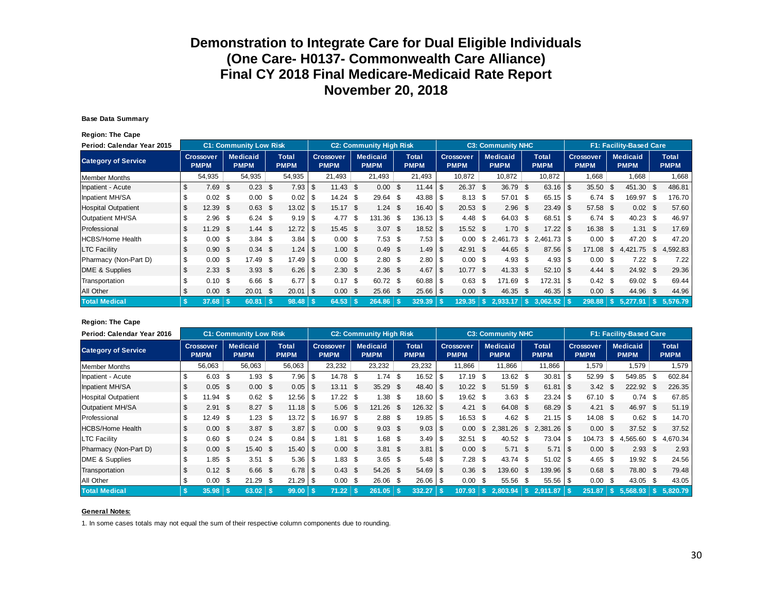#### **Base Data Summary**

**Region: The Cape**

| Period: Calendar Year 2015 |      |                                 |      | <b>C1: Community Low Risk</b>  |      |                             |                          |                                 | <b>C2: Community High Risk</b> |                             |          |                                 |      | <b>C3: Community NHC</b>       |      |                      |      |                          |      | <b>F1: Facility-Based Care</b> |      |                             |
|----------------------------|------|---------------------------------|------|--------------------------------|------|-----------------------------|--------------------------|---------------------------------|--------------------------------|-----------------------------|----------|---------------------------------|------|--------------------------------|------|----------------------|------|--------------------------|------|--------------------------------|------|-----------------------------|
| <b>Category of Service</b> |      | <b>Crossover</b><br><b>PMPM</b> |      | <b>Medicaid</b><br><b>PMPM</b> |      | <b>Total</b><br><b>PMPM</b> |                          | <b>Crossover</b><br><b>PMPM</b> | <b>Medicaid</b><br><b>PMPM</b> | <b>Total</b><br><b>PMPM</b> |          | <b>Crossover</b><br><b>PMPM</b> |      | <b>Medicaid</b><br><b>PMPM</b> |      | Total<br><b>PMPM</b> |      | Crossover<br><b>PMPM</b> |      | <b>Medicaid</b><br><b>PMPM</b> |      | <b>Total</b><br><b>PMPM</b> |
| Member Months              |      | 54,935                          |      | 54,935                         |      | 54,935                      |                          | 21,493                          | 21,493                         | 21,493                      |          | 10,872                          |      | 10,872                         |      | 10,872               |      | 1,668                    |      | 1,668                          |      | 1,668                       |
| Inpatient - Acute          | S    | 7.69                            | \$.  | 0.23                           | - \$ | $7.93$ \$                   |                          | $11.43$ \$                      | $0.00\,$ \$                    | $11.44$ \ \$                |          | 26.37                           | - \$ | 36.79                          | - \$ | 63.16                | \$   | 35.50                    | \$   | 451.30                         | - \$ | 486.81                      |
| Inpatient MH/SA            |      | 0.02                            | -\$  | 0.00                           | - \$ | 0.02                        |                          | $14.24$ \$                      | $29.64$ \$                     |                             |          | 8.13                            | - \$ | 57.01                          | - \$ | 65.15                | -\$  | 6.74                     | -S   | 169.97                         | - \$ | 176.70                      |
| <b>Hospital Outpatient</b> | \$   | 12.39                           | - \$ | 0.63                           | - \$ | 13.02                       |                          | $15.17$ \$                      | $1.24$ \$                      | $16.40$ \ \$                |          | $20.53$ \$                      |      | $2.96$ \$                      |      | 23.49                | - \$ | 57.58 \$                 |      | $0.02 \quad $$                 |      | 57.60                       |
| Outpatient MH/SA           |      | 2.96                            | \$   | $6.24$ \$                      |      | $9.19$ \$                   |                          | 4.77S                           | 131.36 \$                      | 136.13 S                    |          | 4.48                            | - \$ | 64.03 \$                       |      |                      |      | $6.74$ \$                |      | $40.23$ \$                     |      | 46.97                       |
| Professional               | \$   | 11.29                           | -\$  | 1.44                           | - \$ |                             |                          | 15.45 \$                        | $3.07$ \$                      |                             |          | 15.52 \$                        |      | 1.70 <sup>5</sup>              |      | 17.22                | - \$ | $16.38$ \$               |      | $1.31 \quad$ \$                |      | 17.69                       |
| HCBS/Home Health           | \$   | 0.00                            | \$   | 3.84                           | - \$ | $3.84$ \ \ \$               |                          | $0.00\,$ \$                     | $7.53$ \$                      | $7.53$ \$                   |          | 0.00                            | S.   | .73<br>2,461                   | - \$ |                      |      | $0.00 \,$ \$             |      | 47.20 \$                       |      | 47.20                       |
| <b>LTC Facility</b>        |      | 0.90                            | -\$  | $0.34 \text{ } $s$             |      |                             |                          | $1.00 \text{ }$ \$              | $0.49 \text{ } $$              |                             |          | 42.91                           | - \$ | 44.65                          | - \$ | 87.56                | - \$ | 171.08                   | \$   | 4.421.75                       | \$   | 4,592.83                    |
| Pharmacy (Non-Part D)      | \$   | 0.00                            | -\$  | 17.49 \$                       |      | $17.49$ \ \$                |                          | $0.00 \,$ \$                    | $2.80\quad$                    | $2.80$ \$                   |          | $0.00\,$ \$                     |      | $4.93$ \$                      |      | 4.93                 | - \$ | $0.00 \text{ }$ \$       |      | $7.22$ \$                      |      | 7.22                        |
| DME & Supplies             | \$   | 2.33                            | -\$  | $3.93$ \$                      |      |                             |                          | 2.30 <sup>5</sup>               | $2.36$ \$                      | 4.67                        | <b>S</b> | $10.77$ \$                      |      | 41.33                          | - \$ |                      |      | 4.44                     | - \$ | 24.92 \$                       |      | 29.36                       |
| Transportation             | \$   | 0.10                            | -\$  | 6.66 \$                        |      | 6.77                        | - \$                     | $0.17$ \$                       | 60.72 \$                       |                             |          | 0.63                            | - \$ | 171.69                         | - \$ | 172.31               | l \$ | $0.42 \text{ } $$        |      | 69.02 \$                       |      | 69.44                       |
| All Other                  | \$   | 0.00                            | - \$ | 20.01                          | - \$ | 20.01                       | $\overline{\phantom{a}}$ | $0.00\ 5$                       | 25.66 \$                       | $25.66$ \$                  |          | 0.00                            | - \$ | 46.35 \$                       |      | 46.35                | - \$ | $0.00 \,$ \$             |      | 44.96 \$                       |      | 44.96                       |
| <b>Total Medical</b>       | - \$ | 37.68                           |      | 60.81                          | l s  | $98.48$ \$                  |                          | 64.53                           | $264.86$ \ \$                  | 329.39                      |          | 129.35                          | - 55 | 2.933.17                       | -\$  | 3.062.52             |      | 298.88                   |      | 5.277.91                       |      | 5.576.79                    |

#### **Region: The Cape**

| Period: Calendar Year 2016 |                |                                 |      | <b>C1: Community Low Risk</b>  |      |                             |              |                                 | <b>C2: Community High Risk</b> |                             |          |                                 |      | <b>C3: Community NHC</b>       |      |                             |                                 |      | F1: Facility-Based Care        |                             |
|----------------------------|----------------|---------------------------------|------|--------------------------------|------|-----------------------------|--------------|---------------------------------|--------------------------------|-----------------------------|----------|---------------------------------|------|--------------------------------|------|-----------------------------|---------------------------------|------|--------------------------------|-----------------------------|
| <b>Category of Service</b> |                | <b>Crossover</b><br><b>PMPM</b> |      | <b>Medicaid</b><br><b>PMPM</b> |      | <b>Total</b><br><b>PMPM</b> |              | <b>Crossover</b><br><b>PMPM</b> | <b>Medicaid</b><br><b>PMPM</b> | <b>Total</b><br><b>PMPM</b> |          | <b>Crossover</b><br><b>PMPM</b> |      | <b>Medicaid</b><br><b>PMPM</b> |      | <b>Total</b><br><b>PMPM</b> | <b>Crossover</b><br><b>PMPM</b> |      | <b>Medicaid</b><br><b>PMPM</b> | <b>Total</b><br><b>PMPM</b> |
| <b>Member Months</b>       |                | 56,063                          |      | 56,063                         |      | 56,063                      |              | 23,232                          | 23,232                         | 23,232                      |          | 11,866                          |      | 11,866                         |      | 11,866                      | 1.579                           |      | 1,579                          | 1,579                       |
| Inpatient - Acute          |                | 6.03                            | - \$ | 1.93                           | -\$  | 7.96                        | -S           | 14.78 \$                        | $1.74$ \$                      | 16.52                       | \$       | 17.19                           | \$   | 13.62                          | - \$ | $30.81$ \\$                 | 52.99                           | - \$ | 549.85                         | 602.84                      |
| Inpatient MH/SA            | S.             | $0.05$ \$                       |      | $0.00 \,$ \$                   |      |                             |              | $13.11$ \$                      | $35.29$ \$                     | 48.40                       | l \$     | $10.22$ \$                      |      | 51.59                          | - \$ | $61.81$ \ \ \$              | $3.42 \quad $$                  |      | 222.92 \$                      | 226.35                      |
| <b>Hospital Outpatient</b> | \$.            | $11.94$ \$                      |      | $0.62$ \$                      |      | 12.56                       | -\$          | $17.22$ \$                      | $1.38$ \$                      | 18.60                       | l \$     | 19.62 \$                        |      | 3.63                           | \$   | $23.24$ \$                  | 67.10 \$                        |      | $0.74$ \$                      | 67.85                       |
| Outpatient MH/SA           | \$             | 2.91 <sup>5</sup>               |      | $8.27$ \$                      |      | 11.18                       | l \$         | $5.06$ \$                       | $121.26$ \$                    | 126.32                      | <b>S</b> | 4.21                            | \$   | 64.08 \$                       |      |                             | $4.21 \quad $$                  |      | 46.97 \$                       | 51.19                       |
| Professional               | S.             | 12.49                           | - \$ | 1.23                           | - \$ |                             |              | 16.97 \$                        | 2.88 <sup>5</sup>              | 19.85                       | - \$     | 16.53                           | \$   | 4.62                           | - \$ |                             | $14.08$ \$                      |      | $0.62 \quad $$                 | 14.70                       |
| <b>HCBS/Home Health</b>    | \$             | $0.00\quad$ \$                  |      | $3.87$ \$                      |      | 3.87                        | $\mathsf{S}$ | $0.00 \,$ \$                    | $9.03 \quad $$                 |                             |          | 0.00                            | \$   | 2.381.26                       | \$   |                             | $0.00 \text{ }$ \$              |      | $37.52$ \$                     | 37.52                       |
| <b>LTC Facility</b>        |                | $0.60$ \$                       |      | $0.24$ \$                      |      | $0.84$ \$                   |              | $1.81$ \$                       | 1.68 \$                        | 3.49                        | -\$      | 32.51                           | - \$ | 40.52                          | - \$ | $73.04$ \ \$                | 104.73                          | \$   | 4.565.60                       | \$<br>4,670.34              |
| Pharmacy (Non-Part D)      | $\mathfrak{S}$ | $0.00 \,$ \$                    |      | 15.40 \$                       |      |                             |              | $0.00 \,$ \$                    | $3.81 \quad $$                 | 3.81                        | -\$      | $0.00 \,$ \$                    |      | 5.71 S                         |      |                             | $0.00 \,$ \$                    |      | $2.93$ \$                      | 2.93                        |
| DME & Supplies             | \$             | 1.85                            | -S   | $3.51$ \$                      |      | $5.36$ \ \$                 |              | $1.83$ \$                       | $3.65$ \$                      | 5.48                        | -\$      | 7.28                            | \$   | 43.74                          | - \$ | $51.02$ \$                  | $4.65$ \$                       |      | 19.92 \$                       | 24.56                       |
| Transportation             | \$             | $0.12$ \$                       |      | $6.66$ \$                      |      | 6.78                        | <b>S</b>     | $0.43 \quad$ \$                 | 54.26 \$                       | $54.69$ \ \ \$              |          | 0.36                            | \$   | 139.60 \$                      |      | $139.96$ \$                 | $0.68$ \$                       |      | 78.80 \$                       | 79.48                       |
| All Other                  | S              | 0.00                            | - \$ | 21.29                          | - \$ |                             |              | $0.00\,$ \$                     | 26.06 \$                       | $26.06$ \ \ \$              |          | 0.00                            | - \$ | 55.56                          | - \$ | $55.56$ \ \$                | $0.00 \,$ \$                    |      | 43.05 \$                       | 43.05                       |
| <b>Total Medical</b>       | - \$           | 35.98                           |      | $63.02$   \$                   |      | 99.00                       |              | 71.22                           | 261.05                         | 332.27                      |          | 107.93                          | -S.  | 2.803.94                       |      |                             | 251.87                          |      | $\frac{1}{5}$ 5.568.93         | 5.820.79                    |

#### **General Notes:**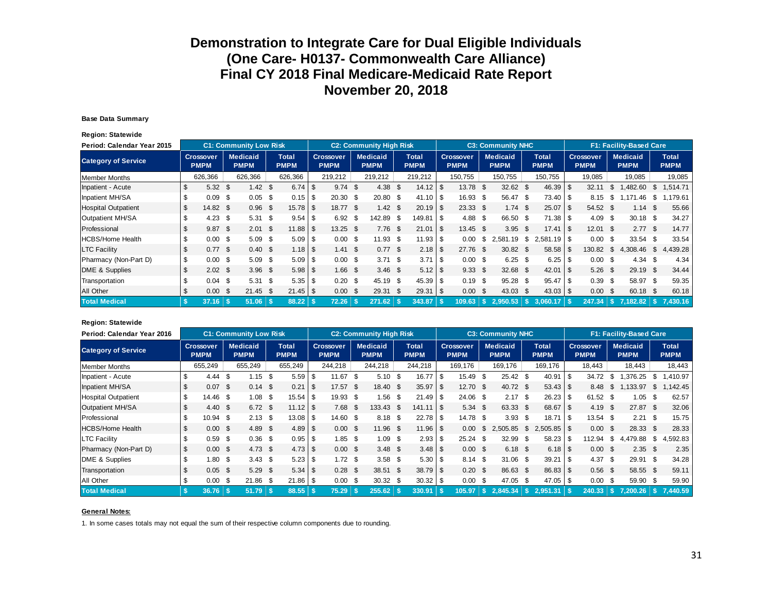#### **Base Data Summary**

**Region: Statewide**

| Period: Calendar Year 2015 |    |                                 |      | <b>C1: Community Low Risk</b>  |          |                             |                                 | <b>C2: Community High Risk</b> |                             |      |                                 |      | <b>C3: Community NHC</b>       |      |                      |              |                                 |     | <b>F1: Facility-Based Care</b> |      |                             |
|----------------------------|----|---------------------------------|------|--------------------------------|----------|-----------------------------|---------------------------------|--------------------------------|-----------------------------|------|---------------------------------|------|--------------------------------|------|----------------------|--------------|---------------------------------|-----|--------------------------------|------|-----------------------------|
| <b>Category of Service</b> |    | <b>Crossover</b><br><b>PMPM</b> |      | <b>Medicaid</b><br><b>PMPM</b> |          | <b>Total</b><br><b>PMPM</b> | <b>Crossover</b><br><b>PMPM</b> | <b>Medicaid</b><br><b>PMPM</b> | <b>Total</b><br><b>PMPM</b> |      | <b>Crossover</b><br><b>PMPM</b> |      | <b>Medicaid</b><br><b>PMPM</b> |      | Total<br><b>PMPM</b> |              | <b>Crossover</b><br><b>PMPM</b> |     | <b>Medicaid</b><br><b>PMPM</b> |      | <b>Total</b><br><b>PMPM</b> |
| <b>Member Months</b>       |    | 626,366                         |      | 626,366                        |          | 626,366                     | 219,212                         | 219,212                        | 219,212                     |      | 150,755                         |      | 150,755                        |      | 150.755              |              | 19,085                          |     | 19,085                         |      | 19,085                      |
| Inpatient - Acute          | \$ | 5.32                            | \$   | 1.42                           | - \$     |                             | $9.74$ \$                       | $4.38$ \$                      |                             |      | 13.78                           | - \$ | $32.62$ \$                     |      | $46.39$ \$           |              | 32.11                           | -S. | .482.60                        | S    | 1,514.71                    |
| Inpatient MH/SA            |    | 0.09                            | \$   | 0.05                           | - \$     |                             | $20.30\quad$ \$                 | 20.80 \$                       | $41.10$ \ \$                |      | 16.93                           | - \$ | 56.47                          | - \$ | $73.40$ \ \$         |              | 8.15                            | \$. | .46                            | \$   | .179.61                     |
| <b>Hospital Outpatient</b> |    | 14.82 \$                        |      | 0.96                           | - \$     |                             | 18.77 \$                        | 1.42 \$                        | $20.19$ \$                  |      | $23.33$ \$                      |      | 1.74                           | - \$ | $25.07$ \\$          |              | 54.52 \$                        |     | 1.14                           | - \$ | 55.66                       |
| Outpatient MH/SA           |    | 4.23                            | S.   | 5.31                           | - \$     |                             | 6.92 <sup>5</sup>               | 142.89 \$                      | 149.81                      | l \$ | 4.88                            | - \$ | 66.50                          | - \$ |                      |              | $4.09$ \$                       |     | $30.18$ \$                     |      | 34.27                       |
| Professional               | \$ | $9.87$ \$                       |      | 2.01                           | <b>S</b> | $11.88$   \$                | $13.25$ \$                      | $7.76$ \$                      | 21.01                       | l \$ | $13.45$ \$                      |      | 3.95                           | - \$ | 17.41                | $\mathsf{I}$ | $12.01$ \$                      |     | $2.77$ \$                      |      | 14.77                       |
| <b>HCBS/Home Health</b>    |    | 0.00                            | -\$  | 5.09                           | - \$     | $5.09$ \$                   | $0.00 \,$ \$                    | $11.93$ \$                     | $11.93$ \$                  |      | 0.00                            | S.   | .19<br>2.581                   | \$   |                      |              | $0.00 \,$ \$                    |     | $33.54$ \$                     |      | 33.54                       |
| <b>LTC Facility</b>        |    | $0.77$ \$                       |      | $0.40 \text{ }$ \$             |          |                             | $1.41 \text{ } $$               | 0.77S                          |                             |      | 27.76 \$                        |      | $30.82$ \$                     |      | $58.58$ \ \ \$       |              | 130.82                          | \$  | 4,308.46                       | \$   | 4,439.28                    |
| Pharmacy (Non-Part D)      | \$ | 0.00                            | - \$ | $5.09$ \$                      |          |                             | $0.00 \text{ }$ \$              | $3.71 \text{ } $s$             | 3.71                        | l \$ | $0.00 \,$ \$                    |      | $6.25$ \$                      |      |                      |              | $0.00 \,$ \$                    |     | $4.34$ \$                      |      | 4.34                        |
| DME & Supplies             | \$ | $2.02 \quad$ \$                 |      | $3.96$ \$                      |          |                             | $1.66$ \$                       | $3.46$ \$                      |                             |      | 9.33                            | - \$ | $32.68$ \$                     |      |                      |              | $5.26$ \$                       |     | 29.19 \$                       |      | 34.44                       |
| Transportation             |    | 0.04                            | - \$ | 5.31                           | <b>S</b> | $5.35$ \ \ \$               | $0.20\,$ \$                     | 45.19 \$                       | 45.39                       | ا \$ | 0.19                            | - \$ | 95.28                          | - \$ | $95.47$ \$           |              | 0.39 <sup>5</sup>               |     | 58.97 \$                       |      | 59.35                       |
| All Other                  | \$ | 0.00                            | - \$ | $21.45$ \$                     |          | $21.45$   \$                | $0.00 \,$ \$                    | 29.31 \$                       | 29.31                       | l \$ | 0.00                            | - \$ | 43.03                          | - \$ | $43.03 \, \text{S}$  |              | $0.00 \text{ }$ \$              |     | 60.18 \$                       |      | 60.18                       |
| <b>Total Medical</b>       | -5 | 37.16                           |      | $51.06$   \$                   |          | 88.22                       | 72.26                           | 271.62                         | 343.87                      |      | 109.63                          | l Si | 2.950.53                       | l SS | 3.060.17             | - 5          |                                 |     | $7.182.82$ $\sqrt{5}$          |      | 7.430.16                    |

#### **Region: Statewide**

| Period: Calendar Year 2016 |      |                                 |      | <b>C1: Community Low Risk</b>  |      |                                   |                |                                 |      | <b>C2: Community High Risk</b> |                                    |      |                                 |      | <b>C3: Community NHC</b>       |      |                      |             |                                 |      | F1: Facility-Based Care        |      |                             |
|----------------------------|------|---------------------------------|------|--------------------------------|------|-----------------------------------|----------------|---------------------------------|------|--------------------------------|------------------------------------|------|---------------------------------|------|--------------------------------|------|----------------------|-------------|---------------------------------|------|--------------------------------|------|-----------------------------|
| <b>Category of Service</b> |      | <b>Crossover</b><br><b>PMPM</b> |      | <b>Medicaid</b><br><b>PMPM</b> |      | Total<br><b>PMPM</b>              |                | <b>Crossover</b><br><b>PMPM</b> |      | <b>Medicaid</b><br><b>PMPM</b> | <b>Total</b><br><b>PMPM</b>        |      | <b>Crossover</b><br><b>PMPM</b> |      | <b>Medicaid</b><br><b>PMPM</b> |      | Total<br><b>PMPM</b> |             | <b>Crossover</b><br><b>PMPM</b> |      | <b>Medicaid</b><br><b>PMPM</b> |      | <b>Total</b><br><b>PMPM</b> |
| <b>Member Months</b>       |      | 655,249                         |      | 655,249                        |      | 655,249                           |                | 244,218                         |      | 244,218                        | 244,218                            |      | 169.176                         |      | 169,176                        |      | 169,176              |             | 18.443                          |      | 18,443                         |      | 18,443                      |
| Inpatient - Acute          |      | 4.44                            | \$   | 1.15                           | - \$ | 5.59                              | -\$            | 11.67                           | - \$ | $5.10$ \$                      | 16.77                              | \$.  | 15.49                           | -\$  | 25.42                          | \$   | 40.91                | l \$        | 34.72                           | - \$ | .376.25                        | S.   | .410.97                     |
| Inpatient MH/SA            | S.   | $0.07$ \$                       |      | $0.14$ \$                      |      | 0.21                              | $\overline{1}$ | $17.57$ \$                      |      | 18.40 \$                       | 35.97                              | l \$ | $12.70$ \$                      |      | 40.72 \$                       |      | $53.43$ \\$          |             | 8.48                            | \$1  | ,133.97                        | \$   | ,142.45                     |
| <b>Hospital Outpatient</b> | \$   | 14.46                           | \$   | 1.08                           | - \$ |                                   |                | 19.93 \$                        |      | 1.56 \$                        |                                    |      | 24.06 \$                        |      | 2.17                           | - \$ |                      |             | 61.52 \$                        |      | 1.05                           | - \$ | 62.57                       |
| Outpatient MH/SA           |      | 4.40                            | -\$  | $6.72$ \$                      |      | $11.12$ $\overline{\phantom{1}5}$ |                | $7.68$ \$                       |      | 133.43 \$                      | $141.11$ $\overline{\phantom{1}5}$ |      | 5.34                            | -\$  | 63.33 \$                       |      |                      |             | $4.19$ \$                       |      | 27.87 \$                       |      | 32.06                       |
| Professional               | \$   | $10.94$ \$                      |      | $2.13$ \$                      |      | $13.08$ $\sqrt{5}$                |                | $14.60$ \$                      |      | $8.18$ \$                      | $22.78$ \$                         |      | 14.78                           | -\$  | 3.93                           | - \$ | 18.71                | <b>IS</b>   | $13.54$ \$                      |      | $2.21 \quad$ \$                |      | 15.75                       |
| <b>HCBS/Home Health</b>    | \$   | $0.00\ 5$                       |      | 4.89 \$                        |      |                                   |                | $0.00 \text{ }$ \$              |      | $11.96$ \$                     |                                    |      | 0.00                            | \$   | 2,505.85                       | \$   | $2,505.85$ \\$       |             | $0.00 \text{ }$ \$              |      | 28.33 \$                       |      | 28.33                       |
| <b>LTC Facility</b>        |      | 0.59                            | \$   | $0.36$ \$                      |      | $0.95$ \$                         |                | $1.85$ \$                       |      | $1.09$ \$                      | $2.93$ \$                          |      | 25.24                           | - \$ | 32.99                          | \$   | $58.23$ \$           |             | 112.94                          | - \$ | 4.479.88                       | \$   | 4,592.83                    |
| Pharmacy (Non-Part D)      | \$   | $0.00 \,$ \$                    |      | $4.73$ \$                      |      |                                   |                | $0.00 \,$ \$                    |      | $3.48 \quad $$                 |                                    |      | $0.00 \,$ \$                    |      | $6.18$ \$                      |      |                      |             | $0.00 \,$ \$                    |      | $2.35$ \$                      |      | 2.35                        |
| DME & Supplies             | \$.  | 1.80                            | \$   | $3.43 \quad $$                 |      |                                   |                | $1.72$ \$                       |      | $3.58$ \$                      | $5.30$ \ \$                        |      | 8.14                            | - \$ | $31.06$ \$                     |      | 39.21                | <b>1</b> \$ | 4.37 \$                         |      | 29.91 \$                       |      | 34.28                       |
| Transportation             | \$   | $0.05$ \$                       |      | $5.29$ \$                      |      |                                   |                | $0.28$ \$                       |      | 38.51 \$                       | $38.79$ \$                         |      | $0.20$ \$                       |      | 86.63 \$                       |      | 86.83 \$             |             | $0.56$ \$                       |      | 58.55 \$                       |      | 59.11                       |
| All Other                  | S    | 0.00                            | - \$ | $21.86$ \$                     |      |                                   |                | $0.00\,$ \$                     |      | $30.32$ \$                     |                                    |      | 0.00                            | - \$ | 47.05                          | -S   | $47.05$ \ \$         |             | $0.00 \,$ \$                    |      | 59.90 \$                       |      | 59.90                       |
| <b>Total Medical</b>       | - \$ | 36.76                           |      | $51.79$ $\sqrt{5}$             |      | $88.55$ \ \$                      |                | 75.29                           |      | $255.62$ \$                    | 330.91                             | l S  |                                 |      | $105.97 \mid$ \$ 2,845.34 \ \$ |      | $2,951.31$ \ \$      |             |                                 |      | $240.33 \mid$ \$ 7.200.26      |      | $\frac{1}{2}$ \$ 7,440.59   |

#### **General Notes:**